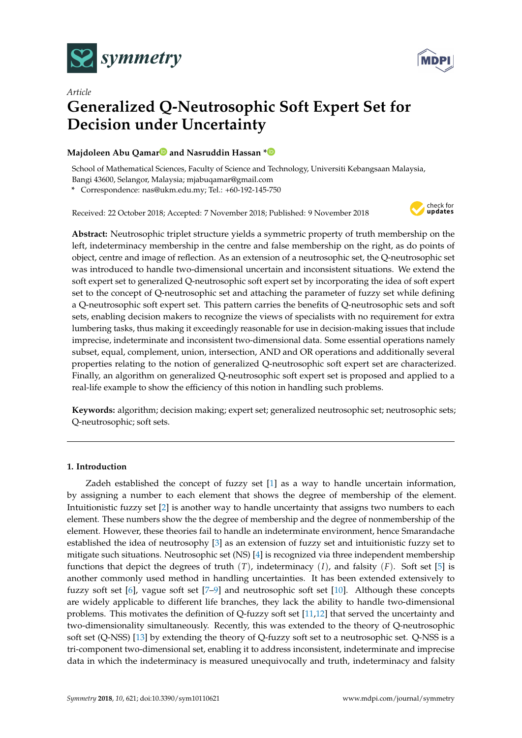



# *Article* **Generalized Q-Neutrosophic Soft Expert Set for Decision under Uncertainty**

## **Majdoleen Abu Qama[r](https://orcid.org/0000-0002-0758-6062) and Nasruddin Hassan [\\*](https://orcid.org/0000-0002-1659-7089)**

School of Mathematical Sciences, Faculty of Science and Technology, Universiti Kebangsaan Malaysia, Bangi 43600, Selangor, Malaysia; mjabuqamar@gmail.com

**\*** Correspondence: nas@ukm.edu.my; Tel.: +60-192-145-750

Received: 22 October 2018; Accepted: 7 November 2018; Published: 9 November 2018



**Abstract:** Neutrosophic triplet structure yields a symmetric property of truth membership on the left, indeterminacy membership in the centre and false membership on the right, as do points of object, centre and image of reflection. As an extension of a neutrosophic set, the Q-neutrosophic set was introduced to handle two-dimensional uncertain and inconsistent situations. We extend the soft expert set to generalized Q-neutrosophic soft expert set by incorporating the idea of soft expert set to the concept of Q-neutrosophic set and attaching the parameter of fuzzy set while defining a Q-neutrosophic soft expert set. This pattern carries the benefits of Q-neutrosophic sets and soft sets, enabling decision makers to recognize the views of specialists with no requirement for extra lumbering tasks, thus making it exceedingly reasonable for use in decision-making issues that include imprecise, indeterminate and inconsistent two-dimensional data. Some essential operations namely subset, equal, complement, union, intersection, AND and OR operations and additionally several properties relating to the notion of generalized Q-neutrosophic soft expert set are characterized. Finally, an algorithm on generalized Q-neutrosophic soft expert set is proposed and applied to a real-life example to show the efficiency of this notion in handling such problems.

**Keywords:** algorithm; decision making; expert set; generalized neutrosophic set; neutrosophic sets; Q-neutrosophic; soft sets.

## **1. Introduction**

Zadeh established the concept of fuzzy set [\[1\]](#page-14-0) as a way to handle uncertain information, by assigning a number to each element that shows the degree of membership of the element. Intuitionistic fuzzy set [\[2\]](#page-14-1) is another way to handle uncertainty that assigns two numbers to each element. These numbers show the the degree of membership and the degree of nonmembership of the element. However, these theories fail to handle an indeterminate environment, hence Smarandache established the idea of neutrosophy [\[3\]](#page-14-2) as an extension of fuzzy set and intuitionistic fuzzy set to mitigate such situations. Neutrosophic set (NS) [\[4\]](#page-14-3) is recognized via three independent membership functions that depict the degrees of truth  $(T)$ , indeterminacy  $(I)$ , and falsity  $(F)$ . Soft set [\[5\]](#page-14-4) is another commonly used method in handling uncertainties. It has been extended extensively to fuzzy soft set [\[6\]](#page-14-5), vague soft set [\[7–](#page-14-6)[9\]](#page-14-7) and neutrosophic soft set [\[10\]](#page-14-8). Although these concepts are widely applicable to different life branches, they lack the ability to handle two-dimensional problems. This motivates the definition of Q-fuzzy soft set [\[11](#page-14-9)[,12\]](#page-14-10) that served the uncertainty and two-dimensionality simultaneously. Recently, this was extended to the theory of Q-neutrosophic soft set (Q-NSS) [\[13\]](#page-14-11) by extending the theory of Q-fuzzy soft set to a neutrosophic set. Q-NSS is a tri-component two-dimensional set, enabling it to address inconsistent, indeterminate and imprecise data in which the indeterminacy is measured unequivocally and truth, indeterminacy and falsity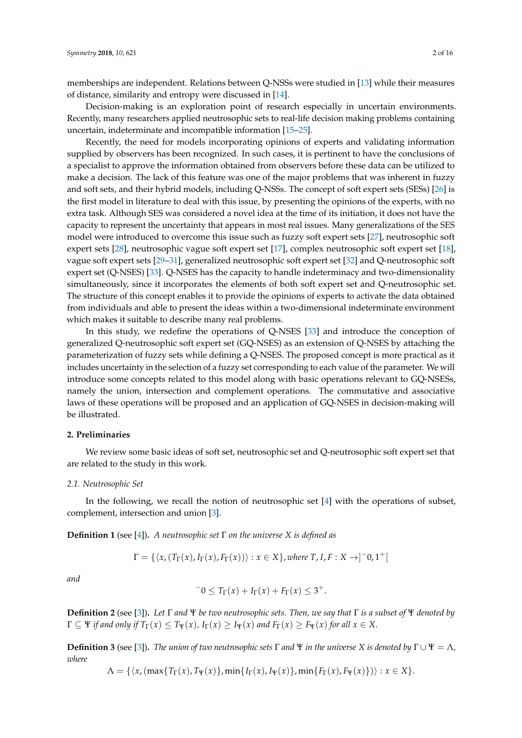memberships are independent. Relations between Q-NSSs were studied in [\[13\]](#page-14-11) while their measures of distance, similarity and entropy were discussed in [\[14\]](#page-14-12).

Decision-making is an exploration point of research especially in uncertain environments. Recently, many researchers applied neutrosophic sets to real-life decision making problems containing uncertain, indeterminate and incompatible information [\[15–](#page-14-13)[25\]](#page-15-0).

Recently, the need for models incorporating opinions of experts and validating information supplied by observers has been recognized. In such cases, it is pertinent to have the conclusions of a specialist to approve the information obtained from observers before these data can be utilized to make a decision. The lack of this feature was one of the major problems that was inherent in fuzzy and soft sets, and their hybrid models, including Q-NSSs. The concept of soft expert sets (SESs) [\[26\]](#page-15-1) is the first model in literature to deal with this issue, by presenting the opinions of the experts, with no extra task. Although SES was considered a novel idea at the time of its initiation, it does not have the capacity to represent the uncertainty that appears in most real issues. Many generalizations of the SES model were introduced to overcome this issue such as fuzzy soft expert sets [\[27\]](#page-15-2), neutrosophic soft expert sets [\[28\]](#page-15-3), neutrosophic vague soft expert set [\[17\]](#page-14-14), complex neutrosophic soft expert set [\[18\]](#page-14-15), vague soft expert sets [\[29](#page-15-4)[–31\]](#page-15-5), generalized neutrosophic soft expert set [\[32\]](#page-15-6) and Q-neutrosophic soft expert set (Q-NSES) [\[33\]](#page-15-7). Q-NSES has the capacity to handle indeterminacy and two-dimensionality simultaneously, since it incorporates the elements of both soft expert set and Q-neutrosophic set. The structure of this concept enables it to provide the opinions of experts to activate the data obtained from individuals and able to present the ideas within a two-dimensional indeterminate environment which makes it suitable to describe many real problems.

In this study, we redefine the operations of Q-NSES [\[33\]](#page-15-7) and introduce the conception of generalized Q-neutrosophic soft expert set (GQ-NSES) as an extension of Q-NSES by attaching the parameterization of fuzzy sets while defining a Q-NSES. The proposed concept is more practical as it includes uncertainty in the selection of a fuzzy set corresponding to each value of the parameter. We will introduce some concepts related to this model along with basic operations relevant to GQ-NSESs, namely the union, intersection and complement operations. The commutative and associative laws of these operations will be proposed and an application of GQ-NSES in decision-making will be illustrated.

#### **2. Preliminaries**

We review some basic ideas of soft set, neutrosophic set and Q-neutrosophic soft expert set that are related to the study in this work.

#### *2.1. Neutrosophic Set*

In the following, we recall the notion of neutrosophic set [\[4\]](#page-14-3) with the operations of subset, complement, intersection and union [\[3\]](#page-14-2).

**Definition 1** (see [\[4\]](#page-14-3))**.** *A neutrosophic set* Γ *on the universe X is defined as*

$$
\Gamma = \{ \langle x, (T_{\Gamma}(x), I_{\Gamma}(x), F_{\Gamma}(x)) \rangle : x \in X \}, where T, I, F : X \rightarrow ]^{-}0, 1^{+}[
$$

*and*

$$
-0 \leq T_{\Gamma}(x) + I_{\Gamma}(x) + F_{\Gamma}(x) \leq 3^{+}.
$$

**Definition 2** (see [\[3\]](#page-14-2))**.** *Let* Γ *and* Ψ *be two neutrosophic sets. Then, we say that* Γ *is a subset of* Ψ *denoted by*  $\Gamma \subseteq \Psi$  *if and only if*  $T_{\Gamma}(x) \leq T_{\Psi}(x)$ ,  $I_{\Gamma}(x) \geq I_{\Psi}(x)$  *and*  $F_{\Gamma}(x) \geq F_{\Psi}(x)$  *for all*  $x \in X$ .

**Definition 3** (see [\[3\]](#page-14-2)). *The union of two neutrosophic sets*  $\Gamma$  *and*  $\Psi$  *in the universe*  $X$  *is denoted by*  $\Gamma \cup \Psi = \Lambda$ *, where*

 $\Lambda = \{\langle x,(\max\{T_{\Gamma}(x), T_{\Psi}(x)\}, \min\{I_{\Gamma}(x), I_{\Psi}(x)\}, \min\{F_{\Gamma}(x), F_{\Psi}(x)\}\rangle : x \in X\}.$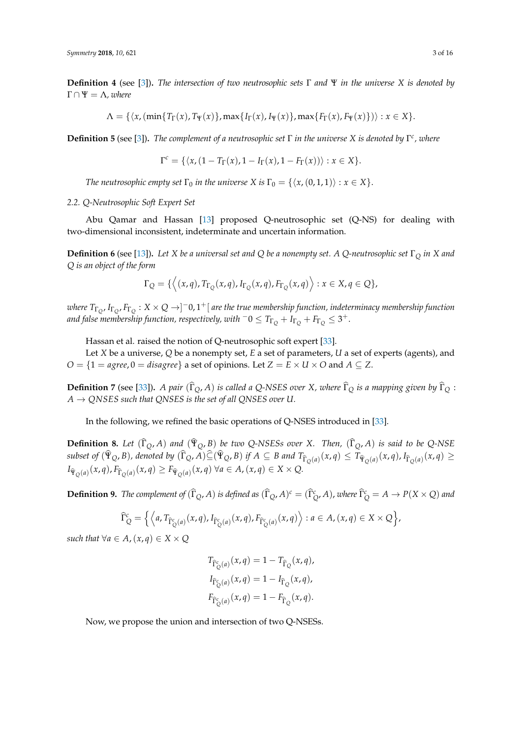**Definition 4** (see [\[3\]](#page-14-2))**.** *The intersection of two neutrosophic sets* Γ *and* Ψ *in the universe X is denoted by*  $\Gamma \cap \Psi = \Lambda$ , where

 $\Lambda = \{\langle x,(\min\{T_\Gamma(x), T_\Psi(x)\}, \max\{I_\Gamma(x), I_\Psi(x)\}, \max\{F_\Gamma(x), F_\Psi(x)\}\rangle) : x \in X\}.$ 

**Definition 5** (see [\[3\]](#page-14-2))**.** *The complement of a neutrosophic set* Γ *in the universe X is denoted by* Γ *c , where*

$$
\Gamma^c = \{ \langle x, (1 - T_{\Gamma}(x), 1 - I_{\Gamma}(x), 1 - F_{\Gamma}(x)) \rangle : x \in X \}.
$$

*The neutrosophic empty set*  $\Gamma_0$  *in the universe X is*  $\Gamma_0 = \{\langle x, (0, 1, 1)\rangle : x \in X\}.$ 

#### *2.2. Q-Neutrosophic Soft Expert Set*

Abu Qamar and Hassan [\[13\]](#page-14-11) proposed Q-neutrosophic set (Q-NS) for dealing with two-dimensional inconsistent, indeterminate and uncertain information.

**Definition 6** (see [\[13\]](#page-14-11))**.** *Let X be a universal set and Q be a nonempty set. A Q-neutrosophic set* Γ*<sup>Q</sup> in X and Q is an object of the form*

$$
\Gamma_Q = \{ \langle (x,q), T_{\Gamma_Q}(x,q), I_{\Gamma_Q}(x,q), F_{\Gamma_Q}(x,q) \rangle : x \in X, q \in Q \},
$$

 $w$ here  $T_{\Gamma_Q}$ ,  $I_{\Gamma_Q}$ ,  $F_{\Gamma_Q}:X\times Q\to ]^-0,1^+[$  are the true membership function, indeterminacy membership function *and false membership function, respectively, with*  $^-0 \leq T_{\Gamma_Q} + I_{\Gamma_Q} + F_{\Gamma_Q} \leq 3^+.$ 

Hassan et al. raised the notion of Q-neutrosophic soft expert [\[33\]](#page-15-7).

Let *X* be a universe, *Q* be a nonempty set, *E* a set of parameters, *U* a set of experts (agents), and *O* = { $1 = agree, 0 = disagree$ } a set of opinions. Let  $Z = E \times U \times O$  and  $A \subseteq Z$ .

**Definition** 7 (see [\[33\]](#page-15-7)). *A pair* ( $\hat{\Gamma}_O$ *, A) is called a Q-NSES over X, where*  $\hat{\Gamma}_O$  *is a mapping given by*  $\hat{\Gamma}_O$  :  $A \rightarrow QNSES$  such that QNSES is the set of all QNSES over U.

In the following, we refined the basic operations of Q-NSES introduced in [\[33\]](#page-15-7).

**Definition 8.** Let  $(\hat{\Gamma}_Q, A)$  and  $(\hat{\Psi}_Q, B)$  be two Q-NSESs over *X.* Then,  $(\hat{\Gamma}_Q, A)$  is said to be Q-NSE subset of  $(\hat{\Psi}_Q, B)$ , denoted by  $(\hat{\Gamma}_Q, A) \subseteq (\hat{\Psi}_Q, B)$  if  $A \subseteq B$  and  $T_{\hat{\Gamma}_Q(a)}(x, q) \leq T_{\hat{\Psi}_Q(a)}(x, q)$ ,  $I_{\hat{\Gamma}_Q(a)}(x, q) \geq$  $I_{\hat{\Psi}_Q(a)}(x, q), F_{\hat{\Gamma}_Q(a)}(x, q) \geq F_{\hat{\Psi}_Q(a)}(x, q) \,\forall a \in A, (x, q) \in X \times Q.$ 

**Definition 9.** The complement of  $(\hat{\Gamma}_Q, A)$  is defined as  $(\hat{\Gamma}_Q, A)^c = (\hat{\Gamma}_Q^c, A)$ , where  $\hat{\Gamma}_Q^c = A \to P(X \times Q)$  and

$$
\widehat{\Gamma}_{Q}^{c} = \left\{ \left\langle a, T_{\widehat{\Gamma}_{Q}^{c}(a)}(x,q), I_{\widehat{\Gamma}_{Q}^{c}(a)}(x,q), F_{\widehat{\Gamma}_{Q}^{c}(a)}(x,q) \right\rangle : a \in A, (x,q) \in X \times Q \right\},\
$$

*such that*  $\forall a \in A, (x, q) \in X \times Q$ 

$$
T_{\hat{\Gamma}_{Q}^{c}(a)}(x,q) = 1 - T_{\hat{\Gamma}_{Q}}(x,q),
$$
  
\n
$$
I_{\hat{\Gamma}_{Q}^{c}(a)}(x,q) = 1 - I_{\hat{\Gamma}_{Q}}(x,q),
$$
  
\n
$$
F_{\hat{\Gamma}_{Q}^{c}(a)}(x,q) = 1 - F_{\hat{\Gamma}_{Q}}(x,q).
$$

Now, we propose the union and intersection of two Q-NSESs.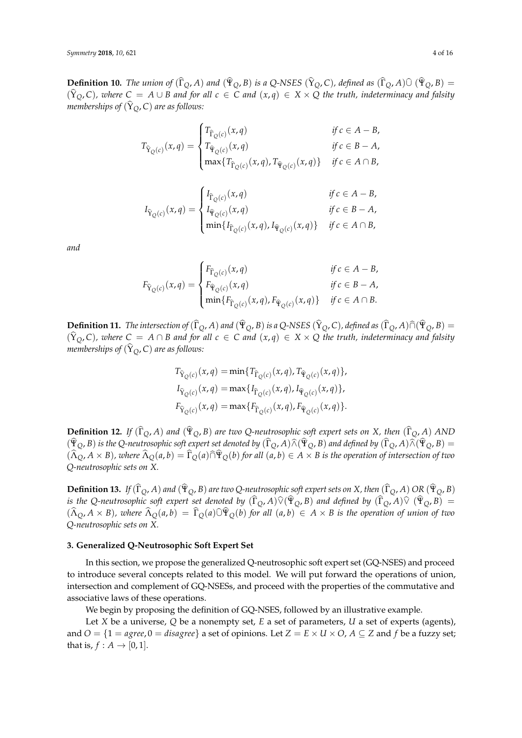**Definition 10.** *The union of*  $(\hat{\Gamma}_O, A)$  *and*  $(\hat{\Psi}_O, B)$  *is a Q-NSES*  $(\hat{Y}_O, C)$ *, defined as*  $(\hat{\Gamma}_O, A) \hat{\cup} (\hat{\Psi}_O, B)$  =  $(\hat{Y}_Q, C)$ , where  $C = A \cup B$  and for all  $c \in C$  and  $(x, q) \in X \times Q$  the truth, indeterminacy and falsity *memberships of*  $(\hat{Y}_O, C)$  *are as follows:* 

$$
T_{\widehat{Y}_Q(c)}(x,q) = \begin{cases} T_{\widehat{\Gamma}_Q(c)}(x,q) & \text{if } c \in A - B, \\ T_{\widehat{\Psi}_Q(c)}(x,q) & \text{if } c \in B - A, \\ \max\{T_{\widehat{\Gamma}_Q(c)}(x,q), T_{\widehat{\Psi}_Q(c)}(x,q)\} & \text{if } c \in A \cap B, \end{cases}
$$

$$
I_{\widehat{Y}_Q(c)}(x,q) = \begin{cases} I_{\widehat{\Gamma}_Q(c)}(x,q) & \text{if } c \in A - B, \\ I_{\widehat{\Psi}_Q(c)}(x,q) & \text{if } c \in B - A, \\ \min\{I_{\widehat{\Gamma}_Q(c)}(x,q), I_{\widehat{\Psi}_Q(c)}(x,q)\} & \text{if } c \in A \cap B, \end{cases}
$$

*and*

$$
F_{\widehat{Y}_{Q}(c)}(x,q) = \begin{cases} F_{\widehat{\Gamma}_Q(c)}(x,q) & \text{if } c \in A - B, \\ F_{\widehat{\Psi}_Q(c)}(x,q) & \text{if } c \in B - A, \\ \min\{F_{\widehat{\Gamma}_Q(c)}(x,q), F_{\widehat{\Psi}_Q(c)}(x,q)\} & \text{if } c \in A \cap B. \end{cases}
$$

**Definition 11.** *The intersection of*  $(\hat{\Gamma}_O, A)$  *and*  $(\hat{\Psi}_O, B)$  *is a* Q-NSES  $(\hat{\Upsilon}_O, C)$ *, defined as*  $(\hat{\Gamma}_O, A) \hat{\cap} (\hat{\Psi}_O, B)$  =  $(\hat{Y}_Q, C)$ , where  $C = A \cap B$  and for all  $c \in C$  and  $(x, q) \in X \times Q$  the truth, indeterminacy and falsity *memberships of*  $(\hat{Y}_O, C)$  *are as follows:* 

$$
T_{\hat{Y}_Q(c)}(x,q) = \min\{T_{\hat{\Gamma}_Q(c)}(x,q), T_{\hat{\Psi}_Q(c)}(x,q)\},
$$
  
\n
$$
I_{\hat{Y}_Q(c)}(x,q) = \max\{I_{\hat{\Gamma}_Q(c)}(x,q), I_{\hat{\Psi}_Q(c)}(x,q)\},
$$
  
\n
$$
F_{\hat{Y}_Q(c)}(x,q) = \max\{F_{\hat{\Gamma}_Q(c)}(x,q), F_{\hat{\Psi}_Q(c)}(x,q)\}.
$$

**Definition 12.** *If*  $(\hat{\Gamma}_Q, A)$  *and*  $(\hat{\Psi}_Q, B)$  *are two Q-neutrosophic soft expert sets on X, then*  $(\hat{\Gamma}_Q, A)$  *AND*  $(\hat{\Psi}_Q, B)$  *is the Q-neutrosophic soft expert set denoted by*  $(\hat{\Gamma}_Q, A) \hat{\wedge} (\hat{\Psi}_Q, B)$  *and defined by*  $(\hat{\Gamma}_Q, A) \hat{\wedge} (\hat{\Psi}_Q, B) =$  $(\widehat{\Lambda}_{Q},A\times B)$ , where  $\widehat{\Lambda}_{Q}(a,b)=\widehat{\Gamma}_{Q}(a)\widehat{\cap}\widehat{\Psi}_{Q}(b)$  for all  $(a,b)\in A\times B$  is the operation of intersection of two *Q-neutrosophic sets on X.*

**Definition 13.** *If*  $(\hat{\Gamma}_O, A)$  *and*  $(\hat{\Psi}_O, B)$  *are two Q-neutrosophic soft expert sets on X*, *then*  $(\hat{\Gamma}_O, A)$  *OR*  $(\hat{\Psi}_O, B)$ *is the Q-neutrosophic soft expert set denoted by*  $(\hat{\Gamma}_Q, A) \hat{\vee} (\hat{\Psi}_Q, B)$  *and defined by*  $(\hat{\Gamma}_Q, A) \hat{\vee} (\hat{\Psi}_Q, B) =$  $(\widehat{\Lambda}_{\mathcal{O}}, A \times B)$ , where  $\widehat{\Lambda}_{\mathcal{O}}(a, b) = \widehat{\Gamma}_{\mathcal{O}}(a) \widehat{\mathcal{V}}_{\mathcal{O}}(b)$  for all  $(a, b) \in A \times B$  is the operation of union of two *Q-neutrosophic sets on X.*

#### **3. Generalized Q-Neutrosophic Soft Expert Set**

In this section, we propose the generalized Q-neutrosophic soft expert set (GQ-NSES) and proceed to introduce several concepts related to this model. We will put forward the operations of union, intersection and complement of GQ-NSESs, and proceed with the properties of the commutative and associative laws of these operations.

We begin by proposing the definition of GQ-NSES, followed by an illustrative example.

Let *X* be a universe, *Q* be a nonempty set, *E* a set of parameters, *U* a set of experts (agents), and  $O = \{1 = \text{agree}, 0 = \text{disagree}\}$  a set of opinions. Let  $Z = E \times U \times O$ ,  $A \subseteq Z$  and  $f$  be a fuzzy set; that is,  $f : A \rightarrow [0, 1]$ .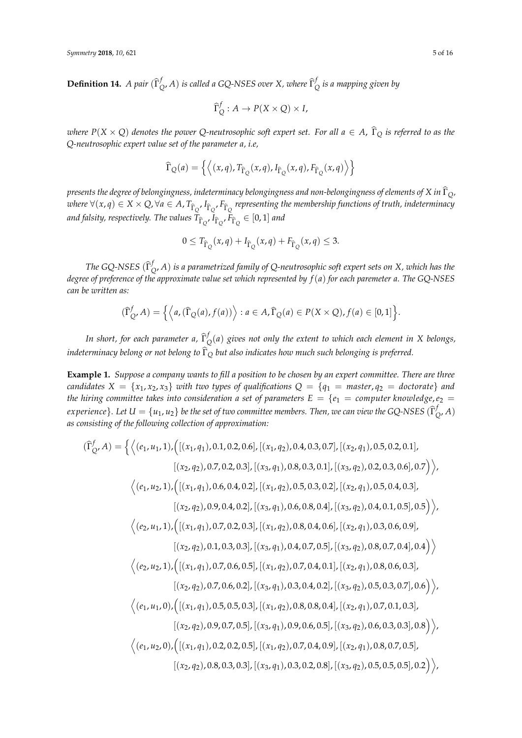**Definition 14.** *A pair*  $(\widehat{\Gamma}_{\zeta})$  $\int_{Q}^{f}$ , *A*) *is called a GQ-NSES over X, where*  $\widehat{\Gamma}_{Q}^{f}$ *Q is a mapping given by*

$$
\widehat{\Gamma}_Q^f : A \to P(X \times Q) \times I,
$$

*where*  $P(X \times Q)$  *denotes the power* Q-neutrosophic soft expert set. For all  $a \in A$ ,  $\hat{\Gamma}_Q$  *is referred to as the Q-neutrosophic expert value set of the parameter a, i.e,*

$$
\widehat{\Gamma}_{Q}(a) = \left\{ \left\langle (x, q), T_{\widehat{\Gamma}_{Q}}(x, q), I_{\widehat{\Gamma}_{Q}}(x, q), F_{\widehat{\Gamma}_{Q}}(x, q) \right\rangle \right\}
$$

*presents the degree of belongingness, indeterminacy belongingness and non-belongingness of elements of X in*  $\hat{\Gamma}_Q$ *,*  $where \forall (x, q) \in X \times Q, \forall a \in A$ ,  $T_{\hat{\Gamma}_{Q}}$ ,  $I_{\hat{\Gamma}_{Q}}$ ,  $F_{\hat{\Gamma}_{Q}}$  representing the membership functions of truth, indeterminacy  $a$ nd falsity, respectively. The values  $T_{\widehat{\Gamma}_Q}$ ,  $I_{\widehat{\Gamma}_Q}$ ,  $F_{\widehat{\Gamma}_Q} \in [0,1]$  and

$$
0 \le T_{\hat{\Gamma}_{Q}}(x,q) + I_{\hat{\Gamma}_{Q}}(x,q) + F_{\hat{\Gamma}_{Q}}(x,q) \le 3.
$$

*The GQ-NSES* ( $\hat{\Gamma}^f$ <sub>*ξ*</sub> *Q* , *A*) *is a parametrized family of Q-neutrosophic soft expert sets on X, which has the degree of preference of the approximate value set which represented by f*(*a*) *for each paremeter a. The GQ-NSES can be written as:*

$$
(\widehat{\Gamma}_{Q'}^f A) = \left\{ \left\langle a, (\widehat{\Gamma}_{Q}(a), f(a)) \right\rangle : a \in A, \widehat{\Gamma}_{Q}(a) \in P(X \times Q), f(a) \in [0,1] \right\}.
$$

*In short, for each parameter a,*  $\widehat{\Gamma}^f_\zeta$ *Q* (*a*) *gives not only the extent to which each element in X belongs, indeterminacy belong or not belong to*  $\widehat{\Gamma}_{\mathcal{O}}$  *but also indicates how much such belonging is preferred.* 

<span id="page-4-0"></span>**Example 1.** *Suppose a company wants to fill a position to be chosen by an expert committee. There are three candidates*  $X = \{x_1, x_2, x_3\}$  *with two types of qualifications*  $Q = \{q_1 = \text{master}, q_2 = \text{doctorate}\}\$ and *the hiring committee takes into consideration a set of parameters*  $E = \{e_1 = \text{computer knowledge}, e_2 = \text{matrix} \}$  $e$ xperience}. Let  $U = \{u_1, u_2\}$  be the set of two committee members. Then, we can view the GQ-NSES  $(\widehat\Gamma^j_k)$ *Q* , *A*) *as consisting of the following collection of approximation:*

$$
(\hat{\Gamma}_{Q'}^{f} A) = \left\{ \left\langle (e_1, u_1, 1), \left( \left[ (x_1, q_1), 0.1, 0.2, 0.6 \right], \left[ (x_1, q_2), 0.4, 0.3, 0.7 \right], \left[ (x_2, q_1), 0.5, 0.2, 0.1 \right], \right. \\ \left. \left. \left[ (x_2, q_2), 0.7, 0.2, 0.3 \right], \left[ (x_3, q_1), 0.8, 0.3, 0.1 \right], \left[ (x_3, q_2), 0.2, 0.3, 0.6 \right], 0.7 \right] \right\rangle, \\ \left\langle (e_1, u_2, 1), \left( \left[ (x_1, q_1), 0.6, 0.4, 0.2 \right], \left[ (x_1, q_2), 0.5, 0.3, 0.2 \right], \left[ (x_2, q_1), 0.5, 0.4, 0.3 \right], \right. \\ \left. \left. \left[ (x_2, q_2), 0.9, 0.4, 0.2 \right], \left[ (x_3, q_1), 0.6, 0.8, 0.4 \right], \left[ (x_3, q_2), 0.4, 0.1, 0.5 \right], 0.5 \right] \right\rangle, \\ \left\langle (e_2, u_1, 1), \left( \left[ (x_1, q_1), 0.7, 0.2, 0.3 \right], \left[ (x_1, q_2), 0.8, 0.4, 0.6 \right], \left[ (x_2, q_1), 0.3, 0.6, 0.9 \right], \left[ (x_2, q_2), 0.1, 0.3, 0.3 \right], \left[ (x_3, q_1), 0.4, 0.7, 0.5 \right], \left[ (x_3, q_2), 0.8, 0.7, 0.4 \right], 0.4 \right) \right\rangle, \\ \left\langle (e_2, u_2, 1), \left( \left[ (x_1, q_1), 0.7, 0.6, 0.5 \right], \left[ (x_1, q_2), 0.7, 0.4, 0.1 \right], \left[ (x_2, q_1), 0.8, 0.6, 0.3 \
$$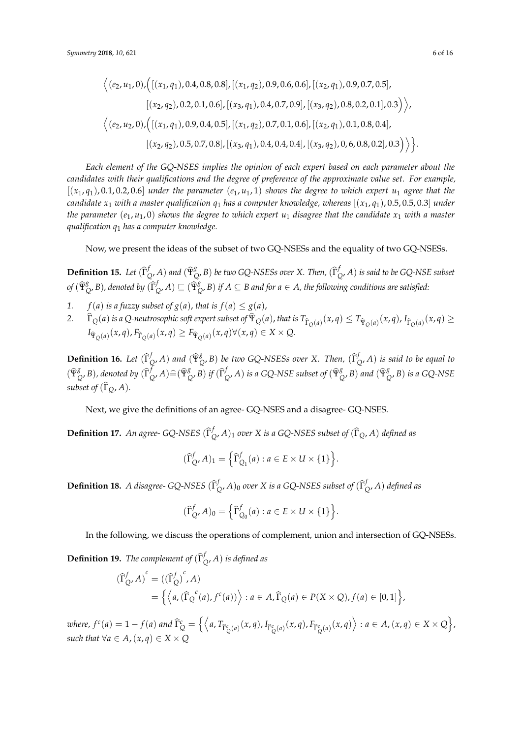$$
\langle (e_2, u_1, 0), ([(x_1, q_1), 0.4, 0.8, 0.8], [(x_1, q_2), 0.9, 0.6, 0.6], [(x_2, q_1), 0.9, 0.7, 0.5],
$$
  

$$
[(x_2, q_2), 0.2, 0.1, 0.6], [(x_3, q_1), 0.4, 0.7, 0.9], [(x_3, q_2), 0.8, 0.2, 0.1], 0.3] \rangle,
$$
  

$$
\langle (e_2, u_2, 0), ([(x_1, q_1), 0.9, 0.4, 0.5], [(x_1, q_2), 0.7, 0.1, 0.6], [(x_2, q_1), 0.1, 0.8, 0.4],
$$
  

$$
[(x_2, q_2), 0.5, 0.7, 0.8], [(x_3, q_1), 0.4, 0.4, 0.4], [(x_3, q_2), 0, 6, 0.8, 0.2], 0.3] \rangle \rangle.
$$

*Each element of the GQ-NSES implies the opinion of each expert based on each parameter about the candidates with their qualifications and the degree of preference of the approximate value set. For example,*  $[(x_1, q_1), 0.1, 0.2, 0.6]$  *under the parameter*  $(e_1, u_1, 1)$  *shows the degree to which expert*  $u_1$  *agree that the candidate*  $x_1$  *with a master qualification*  $q_1$  *has a computer knowledge, whereas*  $[(x_1, q_1), 0.5, 0.5, 0.3]$  *under the parameter*  $(e_1, u_1, 0)$  *shows the degree to which expert*  $u_1$  *disagree that the candidate*  $x_1$  *with a master qualification q*<sup>1</sup> *has a computer knowledge.*

Now, we present the ideas of the subset of two GQ-NSESs and the equality of two GQ-NSESs.

**Definition 15.** *Let*  $(\widehat{\Gamma}_{\widehat{\mathcal{G}}}^f)$  $\int_Q$ , *A*) and  $(\widehat{\Psi}^g_Q)$  $\mathcal{L}_{Q}^{g}$ , *B*) *be two GQ-NSESs over X. Then,*  $(\widehat{\Gamma}_{Q}^{f})$ *Q* , *A*) *is said to be GQ-NSE subset*  $of$  ( $\widehat{\Psi}_{\zeta}^{g}$  $_{Q}^{g}$ , *B*), denoted by  $(\widehat{\Gamma}_{Q}^{f})$  $\bigcirc_{Q'}^f A) \sqsubseteq (\widehat{\Psi}_{Q}^g)$ *Q* , *B*) *if A* ⊆ *B and for a* ∈ *A, the following conditions are satisfied:*

- *1. f*(*a*) *is a fuzzy subset of*  $g(a)$ *, <i>that is*  $f(a) \leq g(a)$ ,
- 2.  $\Gamma_{Q}(a)$  is a Q-neutrosophic soft expert subset of  $\Psi_{Q}(a)$ , that is  $T_{\hat{\Gamma}_{Q}(a)}(x,q) \leq T_{\hat{\Psi}_{Q}(a)}(x,q)$ ,  $I_{\hat{\Gamma}_{Q}(a)}(x,q) \geq$  $I_{\hat{\Psi}_Q(a)}(x, q), F_{\hat{\Gamma}_Q(a)}(x, q) \geq F_{\hat{\Psi}_Q(a)}(x, q) \forall (x, q) \in X \times Q.$

**Definition 16.** *Let*  $(\widehat{\Gamma}_{\widehat{\mathcal{G}}}^f)$  $\oint\limits_Q$ , *A*) and  $(\widehat{\Psi}^g_\mathcal{G})$  $\int_{Q}^{g}$ , *B*) *be two GQ-NSESs over X. Then,*  $(\widehat{\Gamma}_{Q}^{f})$ *Q* , *A*) *is said to be equal to*  $(\widehat{\Psi}_{\zeta}^{g}% )_{\zeta =0}=\left( \widehat{\Psi}_{\zeta}^{g}\right) ^{g}\widehat{\Psi}_{\zeta}^{g}\widehat{\Psi}% _{\zeta}^{\zeta}$  $\int_{Q}^{g}$ *, B*)*, denoted by*  $(\widehat{\Gamma}_{Q}^{f})$  $\bigotimes^f$  *A*) $\widehat{=}$ ( $\widehat{\Psi}^g$  $_{Q}^{g}$ , *B*) *if*  $(\widehat{\Gamma}_{Q}^{f})$  $\int_{Q}^{f}$ , *A*) *is a GQ-NSE subset of* ( $\hat{\Psi}_{Q}^{g}$  $_{Q}^{g}$ , *B*) and  $(\widehat{\Psi}_{Q}^{g})$ *Q* , *B*) *is a GQ-NSE subset of*  $(\widehat{\Gamma}_O, A)$ *.* 

Next, we give the definitions of an agree- GQ-NSES and a disagree- GQ-NSES.

**Definition 17.** An agree- GQ-NSES  $(\widehat{\Gamma}_{\zeta})$  $(Q, A)$ <sub>1</sub> *over X is a* GQ-NSES subset of  $(\Gamma_Q, A)$  *defined as* 

$$
(\widehat{\Gamma}_{Q'}^f A)_1 = \left\{ \widehat{\Gamma}_{Q_1}^f (a) : a \in E \times U \times \{1\} \right\}.
$$

**Definition 18.** *A disagree-* GQ-NSES  $(\widehat{\Gamma}_{\zeta})$  $\int_Q$ , *A*)<sub>0</sub> over *X* is a GQ-NSES subset of  $(\widehat{\Gamma}_Q^f)$ *Q* , *A*) *defined as*

$$
(\widehat{\Gamma}^f_{Q}, A)_0 = \left\{ \widehat{\Gamma}^f_{Q_0}(a) : a \in E \times U \times \{1\} \right\}.
$$

In the following, we discuss the operations of complement, union and intersection of GQ-NSESs.

**Definition 19.** *The complement of*  $(\hat{\Gamma}_{\zeta})^f$ *Q* , *A*) *is defined as*

$$
\begin{aligned} \left(\widehat{\Gamma}_{Q}^{f}, A\right)^{c} &= \left(\left(\widehat{\Gamma}_{Q}^{f}\right)^{c}, A\right) \\ &= \left\{ \left\langle a, \left(\widehat{\Gamma}_{Q}^{c}(a), f^{c}(a)\right) \right\rangle : a \in A, \widehat{\Gamma}_{Q}(a) \in P(X \times Q), f(a) \in [0, 1] \right\}, \end{aligned}
$$

where,  $f^c(a) = 1 - f(a)$  and  $\widehat{\Gamma}_Q^c = \left\{ \left\langle a, T_{\widehat{\Gamma}_Q^c(a)}(x,q), I_{\widehat{\Gamma}_Q^c(a)}(x,q), F_{\widehat{\Gamma}_Q^c(a)}(x,q) \right\rangle : a \in A, (x,q) \in X \times Q \right\}$ *such that*  $\forall a \in A$ ,  $(x, a) \in X \times O$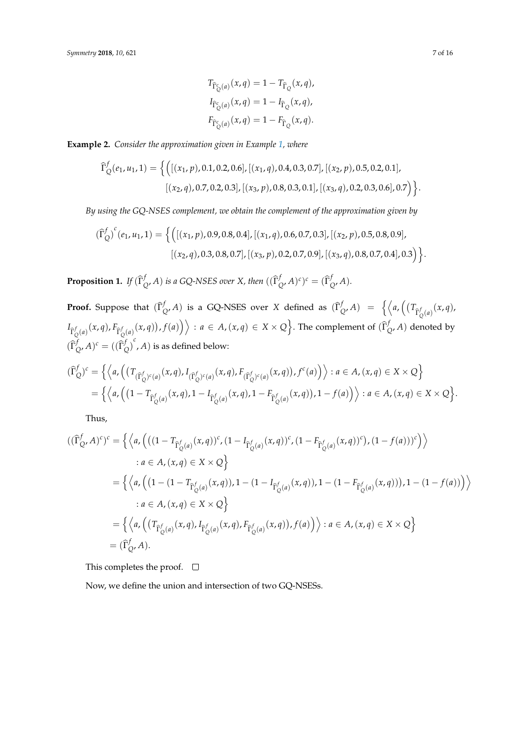$$
T_{\hat{\Gamma}_{Q}^{c}(a)}(x,q) = 1 - T_{\hat{\Gamma}_{Q}}(x,q),
$$
  
\n
$$
I_{\hat{\Gamma}_{Q}^{c}(a)}(x,q) = 1 - I_{\hat{\Gamma}_{Q}}(x,q),
$$
  
\n
$$
F_{\hat{\Gamma}_{Q}^{c}(a)}(x,q) = 1 - F_{\hat{\Gamma}_{Q}}(x,q).
$$

**Example 2.** *Consider the approximation given in Example [1,](#page-4-0) where*

$$
\widehat{\Gamma}_{Q}^{f}(e_{1}, u_{1}, 1) = \left\{ \left( [(x_{1}, p), 0.1, 0.2, 0.6], [(x_{1}, q), 0.4, 0.3, 0.7], [(x_{2}, p), 0.5, 0.2, 0.1], [(x_{2}, q), 0.7, 0.2, 0.3], [(x_{3}, p), 0.8, 0.3, 0.1], [(x_{3}, q), 0.2, 0.3, 0.6], 0.7 \right) \right\}.
$$

*By using the GQ-NSES complement, we obtain the complement of the approximation given by*

$$
\begin{aligned} \left(\widehat{\Gamma}_{Q}^{f}\right)^{c}(e_{1},u_{1},1) &= \Big\{ \Big( \big[ (x_{1},p),0.9,0.8,0.4 \big], \big[ (x_{1},q),0.6,0.7,0.3 \big], \big[ (x_{2},p),0.5,0.8,0.9 \big], \\ &\big[ (x_{2},q),0.3,0.8,0.7 \big], \big[ (x_{3},p),0.2,0.7,0.9 \big], \big[ (x_{3},q),0.8,0.7,0.4 \big],0.3 \Big) \Big\}. \end{aligned}
$$

**Proposition 1.** *If*  $(\widehat{\Gamma}_{\zeta}^{f})$  $\int_{Q'}^{f}$ A) is a GQ-NSES over X, then  $((\widehat{\Gamma}_{Q'}^{f})$  $\int_{Q'}^f A)^c$ <sup>c</sup> =  $(\widehat{\Gamma}_{Q'}^f)$ *Q* , *A*)*.*

**Proof.** Suppose that  $(\widehat{\Gamma}_{\zeta})^f$  $\int_{Q'} f$  *A*) is a GQ-NSES over *X* defined as  $(\widehat{\Gamma}_{Q}^{f})$  $\int_{Q}^{f} A$ ) = { $\left\langle a, \left( (T_{\hat{\Gamma}_{Q}^f(a)}(x, q)), \right) \right\rangle$ *Q*  $I_{\widehat{\Gamma}_Q^f(a)}(x,q), F_{\widehat{\Gamma}_Q^f(a)}(x,q)), f(a)\Big)\Big\rangle : a\in A, (x,q)\in X\times Q\Big\}.$  The complement of  $(\widehat{\Gamma}_Q^f(a))$  $Q$ , *A*) denoted by  $(\widehat{\Gamma}_{\zeta}^{f}% (\theta))^{2}$  ${}_{Q'}^f A)^c = ((\widehat{\Gamma}_{Q}^f$  $\int_{Q}^{f}$ , *A*) is as defined below:

$$
(\widehat{\Gamma}_{Q}^{f})^{c} = \left\{ \left\langle a, \left( (T_{(\widehat{\Gamma}_{Q}^{f})^{c}(a)}(x,q), I_{(\widehat{\Gamma}_{Q}^{f})^{c}(a)}(x,q), F_{(\widehat{\Gamma}_{Q}^{f})^{c}(a)}(x,q)), f^{c}(a) \right) \right\rangle : a \in A, (x,q) \in X \times Q \right\}
$$
  
= 
$$
\left\{ \left\langle a, \left( (1 - T_{\widehat{\Gamma}_{Q}^{f}(a)}(x,q), 1 - I_{\widehat{\Gamma}_{Q}^{f}(a)}(x,q), 1 - F_{\widehat{\Gamma}_{Q}^{f}(a)}(x,q)), 1 - f(a) \right) \right\rangle : a \in A, (x,q) \in X \times Q \right\}.
$$

Thus,

$$
\begin{split}\n((\widehat{\Gamma}_{Q}^{f}, A)^{c})^{c} &= \left\{ \left\langle a, \left( \left( (1 - T_{\widehat{\Gamma}_{Q}^{f}(a)}(x, q))^{c}, (1 - I_{\widehat{\Gamma}_{Q}^{f}(a)}(x, q))^{c}, (1 - F_{\widehat{\Gamma}_{Q}^{f}(a)}(x, q))^{c} \right), (1 - f(a))^{c} \right) \right\rangle \\
&= a \in A, (x, q) \in X \times Q \right\} \\
&= \left\{ \left\langle a, \left( (1 - (1 - T_{\widehat{\Gamma}_{Q}^{f}(a)}(x, q)), 1 - (1 - I_{\widehat{\Gamma}_{Q}^{f}(a)}(x, q)), 1 - (1 - F_{\widehat{\Gamma}_{Q}^{f}(a)}(x, q)) \right), 1 - (1 - f(a)) \right) \right\rangle \\
&= a \in A, (x, q) \in X \times Q \right\} \\
&= \left\{ \left\langle a, \left( (T_{\widehat{\Gamma}_{Q}^{f}(a)}(x, q), I_{\widehat{\Gamma}_{Q}^{f}(a)}(x, q), F_{\widehat{\Gamma}_{Q}^{f}(a)}(x, q)), f(a) \right) \right\rangle : a \in A, (x, q) \in X \times Q \right\} \\
&= (\widehat{\Gamma}_{Q}^{f}, A).\n\end{split}
$$

This completes the proof.  $\square$ 

Now, we define the union and intersection of two GQ-NSESs.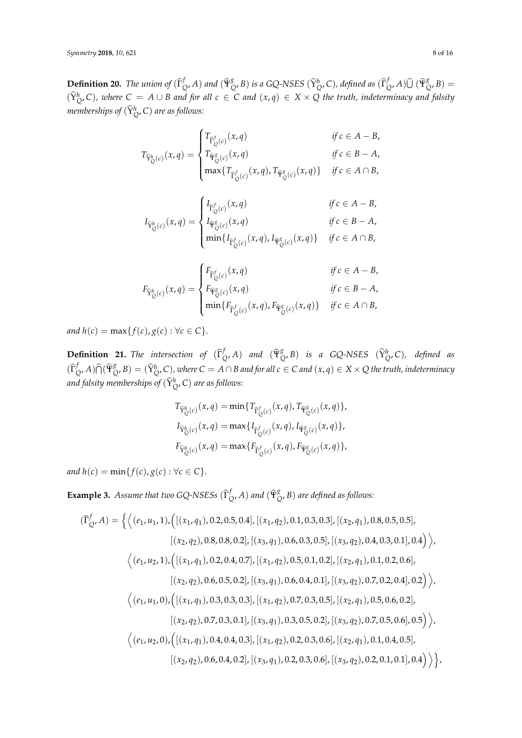<span id="page-7-0"></span>**Definition 20.** *The union of*  $(\hat{\Gamma}_{\zeta}^{f})$  $\int_{Q'}^{f} A$ ) and  $(\widehat{\Psi}_{Q}^{g})$  $\frac{g}{Q}$ , *B*) is a GQ-NSES  $(\widehat{Y}_Q^h$ , *C*), defined as  $(\widehat{\Gamma}_Q^h$ *f*<sub>Q</sub>, *A*)  $\widehat{U}$  (Ψ<sup>g</sup><sub> $\widehat{Y}$ </sub>  $_{Q'}^{8}(B) =$  $(\widehat{Y}_{Q}^{h}, C)$ , where  $C = A \cup B$  and for all  $c \in C$  and  $(x, q) \in X \times Q$  the truth, indeterminacy and falsity *memberships of*  $(\widehat{\mathsf{Y}}_{Q}^{h}, \mathsf{C})$  *are as follows:* 

$$
T_{\widehat{Y}_{\mathbb{Q}}^h(c)}(x,q) = \begin{cases} T_{\widehat{\Gamma}_{\mathbb{Q}}^f(c)}(x,q) & \text{if } c \in A - B, \\ T_{\widehat{\Psi}_{\mathbb{Q}}^g(c)}(x,q) & \text{if } c \in B - A, \\ \max\{T_{\widehat{\Gamma}_{\mathbb{Q}}^f(c)}(x,q), T_{\widehat{\Psi}_{\mathbb{Q}}^g(c)}(x,q)\} & \text{if } c \in A \cap B, \end{cases}
$$

$$
I_{\widehat{Y}_{Q}^h(c)}(x,q) = \begin{cases} I_{\widehat{\Gamma}_{Q}^f(c)}(x,q) & \text{if } c \in A - B, \\ I_{\widehat{\Psi}_{Q}^g(c)}(x,q) & \text{if } c \in B - A, \\ \min\{I_{\widehat{\Gamma}_{Q}^f(c)}(x,q), I_{\widehat{\Psi}_{Q}^g(c)}(x,q)\} & \text{if } c \in A \cap B, \end{cases}
$$

$$
F_{\widehat{Y}_{\mathbb{Q}}^h(c)}(x,q) = \begin{cases} F_{\widehat{\Gamma}_{\mathbb{Q}}^f(c)}(x,q) & \text{if } c \in A - B, \\ F_{\widehat{\Psi}_{\mathbb{Q}}^g(c)}(x,q) & \text{if } c \in B - A, \\ \min\{F_{\widehat{\Gamma}_{\mathbb{Q}}^f(c)}(x,q), F_{\widehat{\Psi}_{\mathbb{Q}}^g(c)}(x,q)\} & \text{if } c \in A \cap B, \end{cases}
$$

*and*  $h(c) = \max\{f(c), g(c) : \forall c \in C\}.$ 

**Definition 21.** *The intersection of*  $(\widehat{\Gamma}_{\zeta})^f$  $\int_{Q'}^{f} A$ ) *and*  $(\widehat{\Psi}_{Q}^{g})$  $\int_{Q}^{g}$ , *B*) *is a GQ-NSES* ( $\widehat{Y}_{Q}^{h}$ , *C*), *defined as*  $(\widehat{\Gamma}_{\zeta}^{f}% (\Gamma_{\zeta}^{f}(\zeta))^{2})$  $\int_Q^f$ *A*) $\widehat{\bigcap}$  ( $\widehat{\Psi}_{\widehat{\mathsf{G}}}^g$  $\chi^g_{Q'}$ , B)  $=(\hat{Y}^h_{Q'}, C)$ , where  $C = A \cap B$  and for all  $c \in C$  and  $(x, q) \in X \times Q$  the truth, indeterminacy and falsity memberships of  $(\widehat{\mathsf{Y}}_{\mathsf{Q}}^h$ , C) are as follows:

$$
T_{\hat{Y}_{Q}^{h}(c)}(x,q) = \min\{T_{\hat{\Gamma}_{Q}^{f}(c)}(x,q), T_{\hat{\Psi}_{Q}^{g}(c)}(x,q)\},
$$
  

$$
I_{\hat{Y}_{Q}^{h}(c)}(x,q) = \max\{I_{\hat{\Gamma}_{Q}^{f}(c)}(x,q), I_{\hat{\Psi}_{Q}^{g}(c)}(x,q)\},
$$
  

$$
F_{\hat{Y}_{Q}^{h}(c)}(x,q) = \max\{F_{\hat{\Gamma}_{Q}^{f}(c)}(x,q), F_{\hat{\Psi}_{Q}^{g}(c)}(x,q)\},
$$

*and*  $h(c) = \min\{f(c), g(c) : \forall c \in C\}.$ 

**Example 3.** *Assume that two GQ-NSESs*  $(\hat{\Gamma}_{\zeta})$  $\int_{Q'}^{f} A$ ) and  $(\widehat{\Psi}_{Q}^{g})$ *Q* , *B*) *are defined as follows:*

$$
(\hat{\Gamma}_{Q}^{f}, A) = \left\{ \left\langle (e_1, u_1, 1), \left( \left[ (x_1, q_1), 0.2, 0.5, 0.4 \right], \left[ (x_1, q_2), 0.1, 0.3, 0.3 \right], \left[ (x_2, q_1), 0.8, 0.5, 0.5 \right], \right. \right. \left. \left. \left. \left. \left( (x_2, q_2), 0.8, 0.8, 0.2 \right], \left[ (x_3, q_1), 0.6, 0.3, 0.5 \right], \left[ (x_3, q_2), 0.4, 0.3, 0.1 \right], 0.4 \right) \right\rangle, \right\}
$$
\n
$$
\left\langle (e_1, u_2, 1), \left( \left[ (x_1, q_1), 0.2, 0.4, 0.7 \right], \left[ (x_1, q_2), 0.5, 0.1, 0.2 \right], \left[ (x_2, q_1), 0.1, 0.2, 0.6 \right], \right. \left. \left. \left. \left( (x_2, q_2), 0.6, 0.5, 0.2 \right], \left[ (x_3, q_1), 0.6, 0.4, 0.1 \right], \left[ (x_3, q_2), 0.7, 0.2, 0.4 \right], 0.2 \right) \right\rangle, \right\}
$$
\n
$$
\left\langle (e_1, u_1, 0), \left( \left[ (x_1, q_1), 0.3, 0.3, 0.3 \right], \left[ (x_1, q_2), 0.7, 0.3, 0.5 \right], \left[ (x_2, q_1), 0.5, 0.6, 0.2 \right], \right. \left. \left. \left( (x_2, q_2), 0.7, 0.3, 0.1 \right], \left[ (x_3, q_1), 0.3, 0.5, 0.2 \right], \left[ (x_3, q_2), 0.7, 0.5, 0.6 \right], 0.5 \right) \right\rangle, \right\}
$$
\n
$$
\left\langle (e_1, u_2, 0), \left( \left[ (x_1, q_1), 0.4, 0.4, 0.3 \right], \left[ (
$$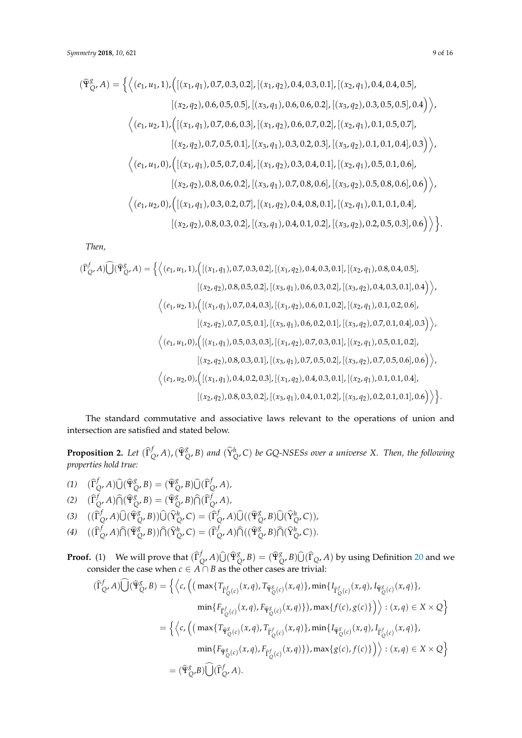$$
(\hat{\Psi}_{Q}^{g}, A) = \left\{ \left\langle (e_1, u_1, 1), \left( \left[ (x_1, q_1), 0.7, 0.3, 0.2 \right], \left[ (x_1, q_2), 0.4, 0.3, 0.1 \right], \left[ (x_2, q_1), 0.4, 0.4, 0.5 \right], \right. \\ \left. \left. \left[ (x_2, q_2), 0.6, 0.5, 0.5 \right], \left[ (x_3, q_1), 0.6, 0.6, 0.2 \right], \left[ (x_3, q_2), 0.3, 0.5, 0.5 \right], 0.4 \right] \right\rangle, \\ \left\langle (e_1, u_2, 1), \left( \left[ (x_1, q_1), 0.7, 0.6, 0.3 \right], \left[ (x_1, q_2), 0.6, 0.7, 0.2 \right], \left[ (x_2, q_1), 0.1, 0.5, 0.7 \right], \right. \\ \left. \left. \left[ (x_2, q_2), 0.7, 0.5, 0.1 \right], \left[ (x_3, q_1), 0.3, 0.2, 0.3 \right], \left[ (x_3, q_2), 0.1, 0.1, 0.4 \right], 0.3 \right] \right\rangle, \\ \left\langle (e_1, u_1, 0), \left( \left[ (x_1, q_1), 0.5, 0.7, 0.4 \right], \left[ (x_1, q_2), 0.3, 0.4, 0.1 \right], \left[ (x_2, q_1), 0.5, 0.1, 0.6 \right], \right. \\ \left. \left. \left[ (x_2, q_2), 0.8, 0.6, 0.2 \right], \left[ (x_3, q_1), 0.7, 0.8, 0.6 \right], \left[ (x_3, q_2), 0.5, 0.8, 0.6 \right], 0.6 \right) \right\rangle, \\ \left\langle (e_1, u_2, 0), \left( \left[ (x_1, q_1), 0.3, 0.2, 0.7 \right], \left[ (x_1, q_2), 0.4, 0.8, 0.1 \right], \left[ (x_2, q_1), 0.1,
$$

*Then,*

$$
(\hat{\Gamma}_{Q}^{f}, A)\hat{\bigcup}(\hat{\Psi}_{Q}^{g}, A) = \left\{ \left\langle (e_1, u_1, 1), \left( \left[ (x_1, q_1), 0.7, 0.3, 0.2 \right], \left[ (x_1, q_2), 0.4, 0.3, 0.1 \right], \left[ (x_2, q_1), 0.8, 0.4, 0.5 \right], \right.\\ \left. \left. \left. \left. \left( (x_2, q_2), 0.8, 0.5, 0.2 \right], \left[ (x_3, q_1), 0.6, 0.3, 0.2 \right], \left[ (x_3, q_2), 0.4, 0.3, 0.1 \right], 0.4 \right) \right\rangle, \\ \left\langle (e_1, u_2, 1), \left( \left[ (x_1, q_1), 0.7, 0.4, 0.3 \right], \left[ (x_1, q_2), 0.6, 0.1, 0.2 \right], \left[ (x_2, q_1), 0.1, 0.2, 0.6 \right], \right.\\ \left. \left. \left. \left( (x_2, q_2), 0.7, 0.5, 0.1 \right], \left[ (x_3, q_1), 0.6, 0.2, 0.1 \right], \left[ (x_3, q_2), 0.7, 0.1, 0.4 \right], 0.3 \right) \right\rangle, \\ \left\langle (e_1, u_1, 0), \left( \left[ (x_1, q_1), 0.5, 0.3, 0.3 \right], \left[ (x_1, q_2), 0.7, 0.3, 0.1 \right], \left[ (x_2, q_1), 0.5, 0.1, 0.2 \right], \right.\\ \left. \left. \left. \left( (x_2, q_2), 0.8, 0.3, 0.1 \right], \left[ (x_3, q_1), 0.7, 0.5, 0.2 \right], \left[ (x_3, q_2), 0.7, 0.5, 0.6 \right], 0.6 \right) \right\rangle, \\ \left\langle (e_1, u_2, 0), \left( \left[ (x_1, q_1), 0.4, 0.2, 0.3 \right], \left[ (x_1, q_2), 0.4,
$$

The standard commutative and associative laws relevant to the operations of union and intersection are satisfied and stated below.

<span id="page-8-0"></span>**Proposition 2.** *Let*  $(\widehat{\Gamma}_{\zeta}^{f})$  $\int_{Q}^{f}$ *A*), ( $\widehat{\Psi}_{\zeta}^{g}$  $^g_{Q}$ , *B*) and  $(\widehat{Y}^h_{Q}$ , *C*) *be GQ-NSESs over a universe X. Then, the following properties hold true:*

(1) 
$$
(\hat{\Gamma}_{Q'}^f A)\hat{U}(\hat{\Psi}_{Q'}^g B) = (\hat{\Psi}_{Q'}^g B)\hat{U}(\hat{\Gamma}_{Q'}^f A),
$$
  
\n(2) 
$$
(\hat{\Gamma}_{Q'}^f A)\hat{\cap}(\hat{\Psi}_{Q'}^g B) = (\hat{\Psi}_{Q'}^g B)\hat{\cap}(\hat{\Gamma}_{Q'}^f A),
$$

- (3)  $((\hat{\Gamma}_{\zeta}^{f})$  $\int_{Q'}^f A) \widehat{\bigcup} \, (\widehat{\Psi}_{\zeta}^g)$  $\bigotimes_{Q} B$ )) $\widehat{U}(\widehat{Y}_{Q}^{h}, C) = (\widehat{\Gamma}_{Q}^{h})$  $\bigcup_{Q}^{f}$ , *A*) $\widehat{\bigcup}$  (( $\widehat{\Psi}_{Q}^{g}$  $\bigcup_{Q}^{g}$ ,  $B$ ) $\widehat{\bigcup}$  ( $\widehat{Y}_{Q}^{h}$ ,  $C$ )),
- (4)  $((\widehat{\Gamma}_{\zeta}^{f})$  $\int_Q^f$ *A*) $\widehat{\bigcap}$  ( $\widehat{\Psi}_{\widehat{\mathsf{G}}}^g$  $\hat{Q}$ , *B*)) $\hat{\bigcap} (\hat{Y}_{Q}^{h}, C) = (\hat{\Gamma}_{Q}^{h})$  $\int_{Q'}^f$ *A*) $\widehat{\bigcap}$ ((Ψ $_{Q}^g$  $_{Q}^{g}$ , *B*) $\widehat{\bigcap}(\widehat{Y}_{Q}^{h}, C)$ ).
- **Proof.** (1) We will prove that  $(\widehat{\Gamma}_{\widehat{\mathcal{G}}}^{f})$  $\bigcup_{Q}^{f}$ *A*) $\widehat{U}(\widehat{\Psi}_{Q}^{g})$  $\mathcal{L}_Q^g$ , *B*) = ( $\widehat{\Psi}_Q^g$  $\int_{Q}^{g}$ , *B*) $\bigcup$ ( $\Gamma_{Q}$ , *A*) by using Definition [20](#page-7-0) and we consider the case when  $c \in A \cap B$  as the other cases are trivial:

$$
\begin{split} (\widehat{\Gamma}^f_{Q}, A) \widehat{\bigcup} (\widehat{\Psi}^g_{Q}, B) &= \Big\{ \Big\langle c, \Big( \big( \max \{ T_{\widehat{\Gamma}^f_{Q}(c)}(x, q), T_{\widehat{\Psi}^g_{Q}(c)}(x, q) \}, \min \{ I_{\widehat{\Gamma}^f_{Q}(c)}(x, q), I_{\widehat{\Psi}^g_{Q}(c)}(x, q) \}, \\ &\qquad \min \{ F_{\widehat{\Gamma}^f_{Q}(c)}(x, q), F_{\widehat{\Psi}^g_{Q}(c)}(x, q) \} \big), \max \{ f(c), g(c) \} \Big) \Big\rangle : (x, q) \in X \times Q \Big\} \\ &= \Big\{ \Big\langle c, \Big( \big( \max \{ T_{\widehat{\Psi}^g_{Q}(c)}(x, q), T_{\widehat{\Gamma}^f_{Q}(c)}(x, q) \}, \min \{ I_{\widehat{\Psi}^g_{Q}(c)}(x, q), I_{\widehat{\Gamma}^f_{Q}(c)}(x, q) \}, \\ &\qquad \min \{ F_{\widehat{\Psi}^g_{Q}(c)}(x, q), F_{\widehat{\Gamma}^f_{Q}(c)}(x, q) \} \big), \max \{ g(c), f(c) \} \Big) \Big\rangle : (x, q) \in X \times Q \Big\} \\ &= (\widehat{\Psi}^g_{Q}, B) \widehat{\bigcup} (\widehat{\Gamma}^f_{Q}, A). \end{split}
$$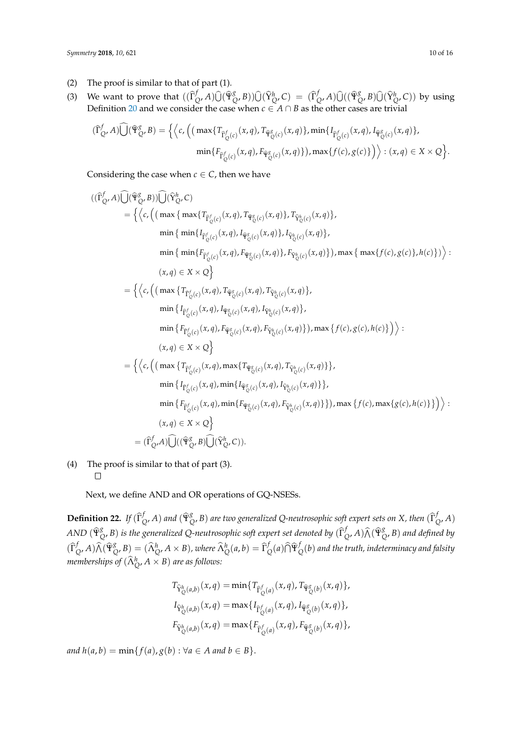- (2) The proof is similar to that of part (1).
- (3) We want to prove that  $((\widehat{\Gamma}_{\widehat{\mathcal{G}}}^{f})$  $\bigcup_{Q}^{f}$ *A*) $\widehat{\bigcup}$  ( $\widehat{\Psi}_{Q}^{g}$  $({\widehat{Q}}^{\prime}, B)$ ) $\widehat{U}({\widehat{Y}}_{Q}^{h}, C) = ({\widehat{\Gamma}}_{Q}^{f})$  $\bigcup_{Q}^{f}$ *A*) $\widehat{\bigcup}$  (( $\widehat{\Psi}_{Q}^{g}$  $\int_{Q}^{g}$ , *B*) $\widehat{U}(\widehat{Y}_{Q}^{h}, C)$  by using Definition [20](#page-7-0) and we consider the case when  $c \in A \cap B$  as the other cases are trivial

$$
(\widehat{\Gamma}_{Q}^{f}, A) \widehat{\bigcup} (\widehat{\Psi}_{Q}^{g}, B) = \Big\{ \Big\langle c, \Big( \big( \max \{ T_{\widehat{\Gamma}_{Q}^{f}(c)}(x, q), T_{\widehat{\Psi}_{Q}^{g}(c)}(x, q) \}, \min \{ I_{\widehat{\Gamma}_{Q}^{f}(c)}(x, q), I_{\widehat{\Psi}_{Q}^{g}(c)}(x, q) \}, \min \{ F_{\widehat{\Gamma}_{Q}^{f}(c)}(x, q), F_{\widehat{\Psi}_{Q}^{g}(c)}(x, q) \} \big), \max \{ f(c), g(c) \} \Big) \Big\rangle : (x, q) \in X \times Q \Big\}.
$$

Considering the case when  $c \in C$ , then we have

$$
\begin{split} ((\widehat{\Gamma}_{Q}^{f},A)\widehat{\bigcup}(\widehat{\mathbf{Y}}_{Q}^{g},B))\widehat{\bigcup}(\widehat{Y}_{Q}^{h},C)\\ &=\Big\{\Big\langle c,\Big(\big(\max\big\{\max\{T_{\widehat{\Gamma}_{Q}^{f}(c)}(x,q),T_{\widehat{\mathbf{Y}}_{Q}^{g}(c)}(x,q)\},T_{\widehat{Y}_{Q}^{h}(c)}(x,q)\},\\ &\min\big\{\min\{I_{\widehat{\Gamma}_{Q}^{f}(c)}(x,q),I_{\widehat{\mathbf{Y}}_{Q}^{g}(c)}(x,q)\},I_{\widehat{Y}_{Q}^{h}(c)}(x,q)\},\\ &\min\big\{\min\{F_{\widehat{\Gamma}_{Q}^{f}(c)}(x,q),F_{\widehat{\mathbf{Y}}_{Q}^{g}(c)}(x,q)\},F_{\widehat{Y}_{Q}^{h}(c)}(x,q)\}\big),\max\big\{\max\{f(c),g(c)\},h(c)\}\big)\Big\rangle:\\ &\quad (x,q)\in X\times Q\Big\}\\ &=\Big\{\Big\langle c,\Big(\big(\max\{T_{\widehat{\Gamma}_{Q}^{f}(c)}(x,q),T_{\widehat{\mathbf{Y}}_{Q}^{g}(c)}(x,q),T_{\widehat{Y}_{Q}^{h}(c)}(x,q)\},\\ &\min\big\{I_{\widehat{\Gamma}_{Q}^{f}(c)}(x,q),I_{\widehat{\mathbf{Y}}_{Q}^{g}(c)}(x,q),I_{\widehat{Y}_{Q}^{h}(c)}(x,q)\big\},\\ &\min\big\{f_{\widehat{\Gamma}_{Q}^{f}(c)}(x,q),F_{\widehat{\mathbf{Y}}_{Q}^{g}(c)}(x,q),I_{\widehat{Y}_{Q}^{h}(c)}(x,q)\big\}\Big),\\ &\max\big\{f(c),g(c),h(c)\big\}\Big)\Big\rangle:\\ &\quad (x,q)\in X\times Q\Big\}\\ &=\Big\{\Big\langle c,\Big(\big(\max\big\{T_{\widehat{\Gamma}_{Q}^{f}(c)}(x,q),\max\{T_{\widehat{\Psi}_{Q}^{g}(c)}(x,q),T_{\widehat{Y}_{Q}^{h}(c)}(x,q)\}\big\},\\ &\min\big\{I_{\widehat{\Gamma}_{Q}^{f}(c)}(x,q),\min\{I_{\widehat{\Psi}_{Q}^{g}(c)}(x,q),I_{\widehat{Y}_{Q}^{h}(c)}(x,q)\
$$

(4) The proof is similar to that of part (3).  $\Box$ 

Next, we define AND and OR operations of GQ-NSESs.

**Definition 22.** *If*  $(\widehat{\Gamma}_{\widehat{\mathcal{G}}}^f)$  $\int_{Q'}^{f} A$ ) and  $(\widehat{\Psi}_{Q}^{g})$  $^g_Q$ , *B*) are two generalized Q-neutrosophic soft expert sets on *X*, then  $(\widehat{\Gamma}_Q^f)$ *Q* , *A*) *AND* (Ψ<sup>b</sup> *g*  $^g_{Q}$ , *B*) *is the generalized Q-neutrosophic soft expert set denoted by*  $(\widehat{\Gamma}^f_Q)$  $\int_Q^f$ *A*) $\widehat{\Lambda}(\widehat{\Psi}_{\zeta}^g)$ *Q* , *B*) *and defined by*  $(\widehat{\Gamma}_{\zeta}^{f}% (\theta))^{2}$  $\int_Q^f$ *A*) $\widehat{\Lambda}(\widehat{\Psi}_{\zeta}^g)$  $\chi_{Q}^{g}, B$  =  $(\widehat{\Lambda}_{Q}^{h}, A \times B)$ , where  $\widehat{\Lambda}_{Q}^{h}(a, b) = \widehat{\Gamma}_{Q}^{h}$  $\int\limits_{Q}^{f}(a)\widehat{\cap }\widehat{\Psi }_{\zeta }^{f}$ *Q* (*b*) *and the truth, indeterminacy and falsity memberships of*  $(\widehat{\Lambda}^h_Q, A \times B)$  *are as follows:* 

$$
T_{\hat{Y}_{Q}^{h}(a,b)}(x,q) = \min\{T_{\hat{\Gamma}_{Q}^{f}(a)}(x,q), T_{\hat{\Psi}_{Q}^{g}(b)}(x,q)\},
$$
  

$$
I_{\hat{Y}_{Q}^{h}(a,b)}(x,q) = \max\{I_{\hat{\Gamma}_{Q}^{f}(a)}(x,q), I_{\hat{\Psi}_{Q}^{g}(b)}(x,q)\},
$$
  

$$
F_{\hat{Y}_{Q}^{h}(a,b)}(x,q) = \max\{F_{\hat{\Gamma}_{Q}^{f}(a)}(x,q), F_{\hat{\Psi}_{Q}^{g}(b)}(x,q)\},
$$

*and*  $h(a, b) = \min\{f(a), g(b) : \forall a \in A \text{ and } b \in B\}.$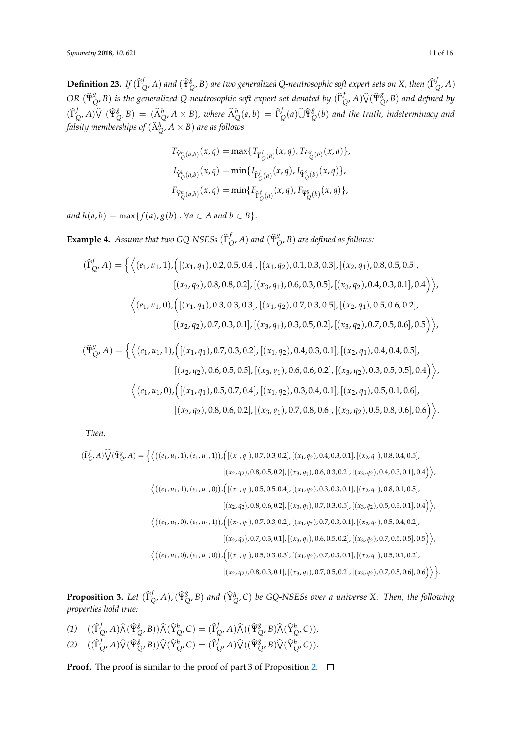**Definition 23.** *If*  $(\widehat{\Gamma}_{\widehat{\mathcal{G}}}^f)$  $\int_{Q'}^{f} A$ ) and  $(\widehat{\Psi}_{Q}^{g})$  $^g_Q$ , *B*) are two generalized Q-neutrosophic soft expert sets on *X*, then  $(\widehat\Gamma^f_Q)$ *Q* , *A*) *OR* (Ψ<sup>b</sup> *g*  $^g_Q$ , *B*) *is the generalized Q-neutrosophic soft expert set denoted by*  $(\widehat{\Gamma}_Q^f)$  $\int_Q^f$ *A*) $\widehat{V}(\widehat{\Psi}_{\widehat{\mathsf{G}}}^g)$ *Q* , *B*) *and defined by*  $(\widehat{\Gamma}_{\zeta}^{f}% (\theta))^{2}$  $\int_{Q'}^f A$ ) $\widehat{V}$  ( $\widehat{\Psi}_{Q}^g$  $\chi_{Q}^{g}$ , *B*) = ( $\widehat{\Lambda}_{Q}^{h}$ , *A* × *B*), where  $\widehat{\Lambda}_{Q}^{h}(a,b) = \widehat{\Gamma}_{Q}^{f}$  $\int_Q^f(a)\widehat{U}\widehat{\Psi}^g_Q$ *Q* (*b*) *and the truth, indeterminacy and falsity memberships of*  $(\widehat{\Lambda}^h_Q, A \times B)$  *are as follows* 

$$
T_{\hat{Y}_{Q}^{h}(a,b)}(x,q) = \max\{T_{\hat{\Gamma}_{Q}^{f}(a)}(x,q), T_{\hat{\Psi}_{Q}^{g}(b)}(x,q)\},
$$
  

$$
I_{\hat{Y}_{Q}^{h}(a,b)}(x,q) = \min\{I_{\hat{\Gamma}_{Q}^{f}(a)}(x,q), I_{\hat{\Psi}_{Q}^{g}(b)}(x,q)\},
$$
  

$$
F_{\hat{Y}_{Q}^{h}(a,b)}(x,q) = \min\{F_{\hat{\Gamma}_{Q}^{f}(a)}(x,q), F_{\hat{\Psi}_{Q}^{g}(b)}(x,q)\},
$$

*and*  $h(a, b) = \max\{f(a), g(b) : \forall a \in A \text{ and } b \in B\}.$ 

**Example 4.** *Assume that two GQ-NSESs*  $(\hat{\Gamma}_{\zeta})^f$  $\int_{Q'}^{f} A$ ) and  $(\widehat{\Psi}_{Q}^{g})$ *Q* , *B*) *are defined as follows:*

$$
(\widehat{\Gamma}_{Q}^{f}, A) = \left\{ \left\langle (e_1, u_1, 1), \left( \left[ (x_1, q_1), 0.2, 0.5, 0.4 \right], \left[ (x_1, q_2), 0.1, 0.3, 0.3 \right], \left[ (x_2, q_1), 0.8, 0.5, 0.5 \right], \right. \right. \\ \left. \left. \left. \left[ (x_2, q_2), 0.8, 0.8, 0.2 \right], \left[ (x_3, q_1), 0.6, 0.3, 0.5 \right], \left[ (x_3, q_2), 0.4, 0.3, 0.1 \right], 0.4 \right) \right\rangle, \\ \left\langle (e_1, u_1, 0), \left( \left[ (x_1, q_1), 0.3, 0.3, 0.3 \right], \left[ (x_1, q_2), 0.7, 0.3, 0.5 \right], \left[ (x_2, q_1), 0.5, 0.6, 0.2 \right], \right. \\ \left. \left. \left[ (x_2, q_2), 0.7, 0.3, 0.1 \right], \left[ (x_3, q_1), 0.3, 0.5, 0.2 \right], \left[ (x_3, q_2), 0.7, 0.5, 0.6 \right], 0.5 \right) \right\rangle, \right\}
$$

$$
(\hat{\mathbf{T}}_{Q}^{g}, A) = \left\{ \left\langle (e_1, u_1, 1), \left( [(x_1, q_1), 0.7, 0.3, 0.2], [(x_1, q_2), 0.4, 0.3, 0.1], [(x_2, q_1), 0.4, 0.4, 0.5], [(x_2, q_2), 0.6, 0.5, 0.5], [(x_3, q_1), 0.6, 0.6, 0.2], [(x_3, q_2), 0.3, 0.5, 0.5], 0.4] \right\rangle, \\ \left\langle (e_1, u_1, 0), \left( [(x_1, q_1), 0.5, 0.7, 0.4], [(x_1, q_2), 0.3, 0.4, 0.1], [(x_2, q_1), 0.5, 0.1, 0.6], [(x_2, q_2), 0.8, 0.6, 0.2], [(x_3, q_1), 0.7, 0.8, 0.6], [(x_3, q_2), 0.5, 0.8, 0.6], 0.6] \right\rangle \right\}.
$$

*Then,*

$$
(\hat{\Gamma}_{Q}^{f}, A)\hat{V}(\hat{\Psi}_{Q}^{g}, A) = \left\{ \left\langle \left( (e_1, u_1, 1), (e_1, u_1, 1) \right), \left( \left[ (x_1, q_1), 0.7, 0.3, 0.2 \right], \left[ (x_1, q_2), 0.4, 0.3, 0.1 \right], \left[ (x_2, q_1), 0.8, 0.4, 0.5 \right], \right.\\ \left. \left. \left( (x_2, q_2), 0.8, 0.5, 0.2 \right), \left[ (x_3, q_1), 0.6, 0.3, 0.2 \right], \left[ (x_3, q_2), 0.4, 0.3, 0.1 \right], 0.4 \right) \right\rangle,
$$
\n
$$
\left\langle \left( (e_1, u_1, 1), (e_1, u_1, 0) \right), \left( \left[ (x_1, q_1), 0.5, 0.5, 0.4 \right], \left[ (x_1, q_2), 0.3, 0.3, 0.1 \right], \left[ (x_2, q_1), 0.8, 0.1, 0.5 \right], \right.\\ \left. \left. \left( (x_2, q_2), 0.8, 0.6, 0.2 \right], \left[ (x_3, q_1), 0.7, 0.3, 0.5 \right], \left[ (x_3, q_2), 0.5, 0.3, 0.1 \right], 0.4 \right) \right\rangle,
$$
\n
$$
\left\langle \left( (e_1, u_1, 0), (e_1, u_1, 1) \right), \left( \left[ (x_1, q_1), 0.7, 0.3, 0.2 \right], \left[ (x_1, q_2), 0.7, 0.3, 0.1 \right], \left[ (x_2, q_1), 0.5, 0.4, 0.2 \right], \right.\\ \left. \left. \left( (x_2, q_2), 0.7, 0.3, 0.1 \right], \left[ (x_3, q_1), 0.6, 0.5, 0.2 \right], \left[ (x_3, q_2), 0.7, 0.5, 0.5 \right], 0.5 \right) \right\rangle,
$$
\n
$$
\left\
$$

**Proposition 3.** *Let*  $(\widehat{\Gamma}_{\zeta}^{f})$ *Q* , *<sup>A</sup>*),(Ψ<sup>b</sup> *g*  $^g_{Q}$ , *B*) and  $(\widehat{Y}^h_{Q}$ , *C*) *be GQ-NSESs over a universe X. Then, the following properties hold true:*

- *(1)*  $((\widehat{\Gamma}_{\zeta}^{f})$  $\int\limits_{Q'}f$  *A*) $\widehat{\bigwedge}$  ( $\widehat{\Psi}_{\zeta}^{g}$  $\left(\sum_{i=1}^{g} B\right)$ ) $\widehat{\Lambda}(\widehat{Y}_{Q}^{h}, C) = (\widehat{\Gamma}_{Q}^{h})$  $\int\limits_{Q'}f$  *A*) $\widehat{\Lambda}((\widehat{\Psi}^{g}_{\zeta})$  $\bigotimes^g_C$ , *B*) $\widehat{\bigwedge}$  ( $\widehat{Y}^h_Q$ , *C*)),
- *(2)*  $((\widehat{\Gamma}_{\zeta}^{f})$  $\int_Q^f$ *A*) $\widehat{V}(\widehat{\Psi}_{\widehat{\mathsf{G}}}^g)$  $\left(\sum_{Q} B\right)$ ) $\widehat{V}(\widehat{Y}_{Q}^{h}, C) = (\widehat{\Gamma}_{Q}^{h})$  $\int_Q^f$ *A*) $\widehat{V}$ (( $\widehat{\Psi}_{Q}^g$  $_{Q}^{g}$ , *B*) $\widehat{\mathsf{V}}(\widehat{\mathrm{Y}}_{Q}^{h}, C)$ ).

**Proof.** The proof is similar to the proof of part 3 of Proposition [2.](#page-8-0) □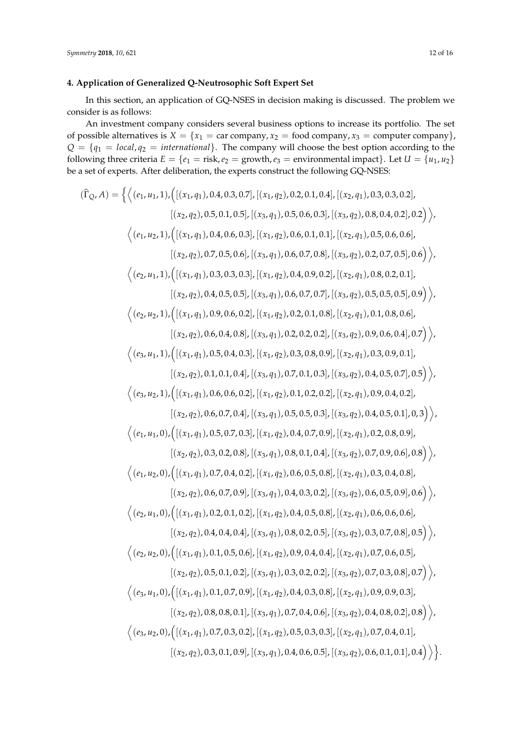## <span id="page-11-0"></span>**4. Application of Generalized Q-Neutrosophic Soft Expert Set**

In this section, an application of GQ-NSES in decision making is discussed. The problem we consider is as follows:

An investment company considers several business options to increase its portfolio. The set of possible alternatives is  $X = \{x_1 = \text{car company}, x_2 = \text{food company}, x_3 = \text{computer company}\}\$  $Q = \{q_1 = local, q_2 = internal\}$ . The company will choose the best option according to the following three criteria  $E = \{e_1 = \text{risk}, e_2 = \text{growth}, e_3 = \text{environmental impact}\}\$ . Let  $U = \{u_1, u_2\}$ be a set of experts. After deliberation, the experts construct the following GQ-NSES:

$$
( \hat{\Gamma}_Q,A)=\begin{cases} \langle (e_1,u_1,1), \big( [(x_1,q_1),0.4,0.3,0.7],\, (x_1,q_2),0.2,0.1,0.4],\, [(x_2,q_1),0.3,0.3,0.2],\\ \langle (x_2,q_2),0.5,0.1,0.5],\, [(x_3,q_1),0.5,0.6,0.3],\, [(x_3,q_2),0.8,0.4,0.2],0.2] \rangle, \\ \langle (e_1,u_2,1), \big( [(x_1,q_1),0.4,0.6,0.3],\, [(x_1,q_2),0.6,0.1,0.1],\, [(x_2,q_1),0.5,0.6,0.6],\\ \langle (x_2,q_2),0.7,0.5,0.6],\, [(x_3,q_1),0.6,0.7,0.8],\, [(x_3,q_2),0.2,0.7,0.5],0.6) \rangle, \\ \langle (e_2,u_1,1), \big( [(x_1,q_1),0.3,0.3,0.3],\, [(x_1,q_2),0.4,0.9,0.2],\, [(x_2,q_1),0.8,0.2,0.1],\\ \langle (x_2,q_2),0.4,0.5,0.5],\, [(x_3,q_1),0.6,0.7,0.7],\, [(x_3,q_2),0.5,0.5,0.5],0.9) \rangle, \\ \langle (e_3,u_2,1), \big( [(x_1,q_1),0.9,0.6,0.2],\, [(x_1,q_2),0.2,0.1,0.8],\, [(x_2,q_1),0.1,0.8,0.6],\\ \langle (x_2,q_2),0.6,0.4,0.8],\, [(x_3,q_1),0.2,0.2,0.1],\, [(x_3,q_1),0.9,0.6,0.4],0.7] \rangle, \\ \langle (e_3,u_1,1), \big( [(x_1,q_1),0.5,0.4,0.3],\, [(x_1,q_2),0.3,0.8,0.9],\, [(x_2,q_1),0.3,0.9,0.1],\\ \langle (x_2,q_2),0.1,0.1,0.4],\, [(x_3,q_1),0.7,0.1,0.3],\, [(x_3
$$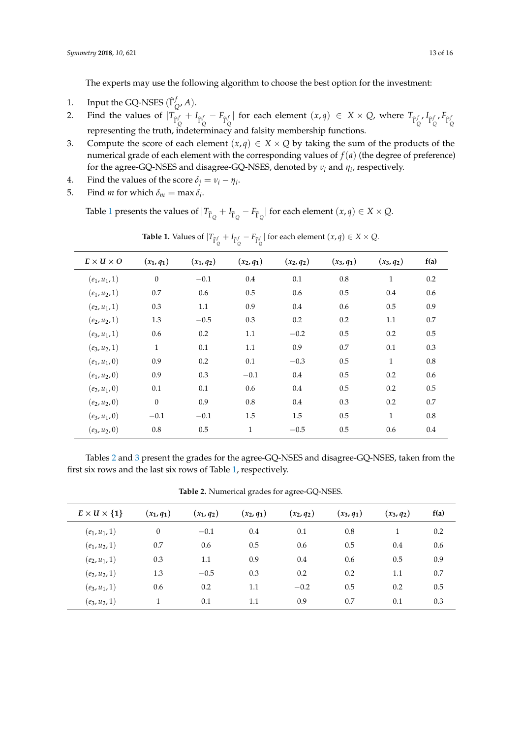The experts may use the following algorithm to choose the best option for the investment:

- 1. Input the GQ-NSES  $(\widehat{\Gamma}_{\zeta})$ *Q* , *A*).
- 2. Find the values of  $|T_{\hat{\Gamma}_{Q}^{f}} + I_{\hat{\Gamma}_{Q}^{f}} F_{\hat{\Gamma}_{Q}^{f}}|$  for each element  $(x, q) \in X \times Q$ , where  $T_{\hat{\Gamma}_{Q}^{f}}, I_{\hat{\Gamma}_{Q}^{f}}, F_{\hat{\Gamma}_{Q}^{f}}$ representing the truth, indeterminacy and falsity membership functions.
- 3. Compute the score of each element  $(x,q) \in X \times Q$  by taking the sum of the products of the numerical grade of each element with the corresponding values of  $f(a)$  (the degree of preference) for the agree-GQ-NSES and disagree-GQ-NSES, denoted by *ν<sup>i</sup>* and *η<sup>i</sup>* , respectively.
- 4. Find the values of the score  $\delta_j = v_i \eta_i$ .
- 5. Find *m* for which  $\delta_m = \max \delta_i$ .

Table [1](#page-12-0) presents the values of  $|T_{\hat{\Gamma}_Q} + I_{\hat{\Gamma}_Q} - F_{\hat{\Gamma}_Q}|$  for each element  $(x, q) \in X \times Q$ .

<span id="page-12-0"></span>

| $E \times U \times O$ | $(x_1, q_1)$     | $(x_1, q_2)$ | $(x_2, q_1)$ | $(x_2, q_2)$ | $(x_3, q_1)$ | $(x_3, q_2)$ | f(a) |
|-----------------------|------------------|--------------|--------------|--------------|--------------|--------------|------|
| $(e_1, u_1, 1)$       | $\boldsymbol{0}$ | $-0.1$       | 0.4          | 0.1          | 0.8          | $\mathbf{1}$ | 0.2  |
| $(e_1, u_2, 1)$       | 0.7              | 0.6          | 0.5          | 0.6          | 0.5          | 0.4          | 0.6  |
| $(e_2, u_1, 1)$       | 0.3              | 1.1          | 0.9          | 0.4          | 0.6          | 0.5          | 0.9  |
| $(e_2, u_2, 1)$       | 1.3              | $-0.5$       | 0.3          | 0.2          | 0.2          | 1.1          | 0.7  |
| $(e_3, u_1, 1)$       | 0.6              | 0.2          | 1.1          | $-0.2$       | 0.5          | 0.2          | 0.5  |
| $(e_3, u_2, 1)$       | $\mathbf{1}$     | 0.1          | 1.1          | 0.9          | 0.7          | 0.1          | 0.3  |
| $(e_1, u_1, 0)$       | 0.9              | 0.2          | 0.1          | $-0.3$       | 0.5          | $\mathbf{1}$ | 0.8  |
| $(e_1, u_2, 0)$       | 0.9              | 0.3          | $-0.1$       | 0.4          | 0.5          | 0.2          | 0.6  |
| $(e_2, u_1, 0)$       | 0.1              | 0.1          | 0.6          | 0.4          | 0.5          | 0.2          | 0.5  |
| $(e_2, u_2, 0)$       | $\theta$         | 0.9          | 0.8          | 0.4          | 0.3          | 0.2          | 0.7  |
| $(e_3, u_1, 0)$       | $-0.1$           | $-0.1$       | 1.5          | 1.5          | 0.5          | $\mathbf{1}$ | 0.8  |
| $(e_3, u_2, 0)$       | 0.8              | 0.5          | $\mathbf{1}$ | $-0.5$       | 0.5          | 0.6          | 0.4  |

**Table 1.** Values of  $|T_{\hat{\Gamma}_Q^f} + I_{\hat{\Gamma}_Q^f} - F_{\hat{\Gamma}_Q^f}|$  for each element  $(x, q) \in X \times Q$ .

Tables [2](#page-12-1) and [3](#page-13-0) present the grades for the agree-GQ-NSES and disagree-GQ-NSES, taken from the first six rows and the last six rows of Table [1,](#page-12-0) respectively.

**Table 2.** Numerical grades for agree-GQ-NSES.

<span id="page-12-1"></span>

| $E \times U \times \{1\}$ | $(x_1, q_1)$ | $(x_1, q_2)$ | $(x_2, q_1)$ | $(x_2, q_2)$ | $(x_3, q_1)$ | $(x_3, q_2)$ | f(a) |
|---------------------------|--------------|--------------|--------------|--------------|--------------|--------------|------|
| $(e_1, u_1, 1)$           | $\theta$     | $-0.1$       | 0.4          | 0.1          | 0.8          | 1            | 0.2  |
| $(e_1, u_2, 1)$           | 0.7          | 0.6          | 0.5          | 0.6          | 0.5          | 0.4          | 0.6  |
| $(e_2, u_1, 1)$           | 0.3          | 1.1          | 0.9          | 0.4          | 0.6          | 0.5          | 0.9  |
| $(e_2, u_2, 1)$           | 1.3          | $-0.5$       | 0.3          | 0.2          | 0.2          | 1.1          | 0.7  |
| $(e_3, u_1, 1)$           | 0.6          | 0.2          | 1.1          | $-0.2$       | 0.5          | 0.2          | 0.5  |
| $(e_3, u_2, 1)$           |              | 0.1          | 1.1          | 0.9          | 0.7          | 0.1          | 0.3  |
|                           |              |              |              |              |              |              |      |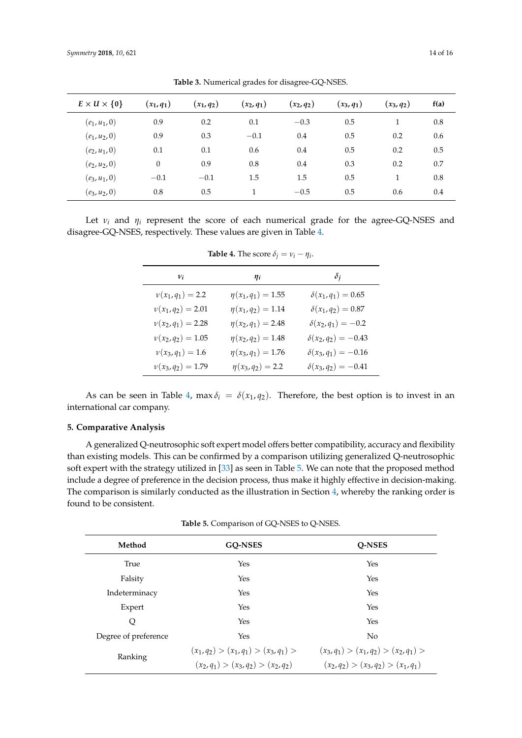<span id="page-13-0"></span>

| $E \times U \times \{0\}$ | $(x_1, q_1)$ | $(x_1, q_2)$ | $(x_2, q_1)$ | $(x_2, q_2)$ | $(x_3, q_1)$ | $(x_3, q_2)$ | f(a) |
|---------------------------|--------------|--------------|--------------|--------------|--------------|--------------|------|
| $(e_1, u_1, 0)$           | 0.9          | 0.2          | 0.1          | $-0.3$       | 0.5          | 1            | 0.8  |
| $(e_1, u_2, 0)$           | 0.9          | 0.3          | $-0.1$       | 0.4          | 0.5          | 0.2          | 0.6  |
| $(e_2, u_1, 0)$           | 0.1          | 0.1          | 0.6          | 0.4          | 0.5          | 0.2          | 0.5  |
| $(e_2, u_2, 0)$           | 0            | 0.9          | 0.8          | 0.4          | 0.3          | 0.2          | 0.7  |
| $(e_3, u_1, 0)$           | $-0.1$       | $-0.1$       | 1.5          | 1.5          | 0.5          | 1            | 0.8  |
| $(e_3, u_2, 0)$           | 0.8          | 0.5          |              | $-0.5$       | 0.5          | 0.6          | 0.4  |

**Table 3.** Numerical grades for disagree-GQ-NSES.

<span id="page-13-1"></span>Let  $v_i$  and  $\eta_i$  represent the score of each numerical grade for the agree-GQ-NSES and disagree-GQ-NSES, respectively. These values are given in Table [4.](#page-13-1)

| $v_i$               | $\eta_i$                | $\delta_i$                 |
|---------------------|-------------------------|----------------------------|
| $v(x_1, q_1) = 2.2$ | $\eta(x_1, q_1) = 1.55$ | $\delta(x_1, q_1) = 0.65$  |
| $\nu(x_1,q_2)=2.01$ | $\eta(x_1,q_2)=1.14$    | $\delta(x_1, q_2) = 0.87$  |
| $\nu(x_2,q_1)=2.28$ | $\eta(x_2,q_1)=2.48$    | $\delta(x_2,q_1)=-0.2$     |
| $\nu(x_2,q_2)=1.05$ | $\eta(x_2,q_2)=1.48$    | $\delta(x_2, q_2) = -0.43$ |
| $v(x_3, q_1) = 1.6$ | $\eta(x_3, q_1) = 1.76$ | $\delta(x_3, q_1) = -0.16$ |
| $\nu(x_3,q_2)=1.79$ | $\eta(x_3,q_2)=2.2$     | $\delta(x_3,q_2)=-0.41$    |

**Table 4.** The score  $\delta_j = v_i - \eta_i$ .

As can be seen in Table [4,](#page-13-1) max  $\delta_i = \delta(x_1, q_2)$ . Therefore, the best option is to invest in an international car company.

#### **5. Comparative Analysis**

A generalized Q-neutrosophic soft expert model offers better compatibility, accuracy and flexibility than existing models. This can be confirmed by a comparison utilizing generalized Q-neutrosophic soft expert with the strategy utilized in [\[33\]](#page-15-7) as seen in Table [5.](#page-13-2) We can note that the proposed method include a degree of preference in the decision process, thus make it highly effective in decision-making. The comparison is similarly conducted as the illustration in Section [4,](#page-11-0) whereby the ranking order is found to be consistent.

|  |  |  |  | <b>Table 5.</b> Comparison of GQ-NSES to Q-NSES. |  |  |  |  |  |  |  |
|--|--|--|--|--------------------------------------------------|--|--|--|--|--|--|--|
|--|--|--|--|--------------------------------------------------|--|--|--|--|--|--|--|

<span id="page-13-2"></span>

| Method               | <b>GO-NSES</b>                                                               | <b>O-NSES</b>                                                                |  |  |  |
|----------------------|------------------------------------------------------------------------------|------------------------------------------------------------------------------|--|--|--|
| True                 | Yes                                                                          | Yes                                                                          |  |  |  |
| Falsity              | Yes                                                                          | Yes                                                                          |  |  |  |
| Indeterminacy        | Yes                                                                          | Yes                                                                          |  |  |  |
| Expert               | Yes                                                                          | Yes                                                                          |  |  |  |
| Q                    | Yes                                                                          | Yes                                                                          |  |  |  |
| Degree of preference | Yes                                                                          | No                                                                           |  |  |  |
| Ranking              | $(x_1,q_2) > (x_1,q_1) > (x_3,q_1) >$<br>$(x_2,q_1) > (x_3,q_2) > (x_2,q_2)$ | $(x_3,q_1) > (x_1,q_2) > (x_2,q_1) >$<br>$(x_2,q_2) > (x_3,q_2) > (x_1,q_1)$ |  |  |  |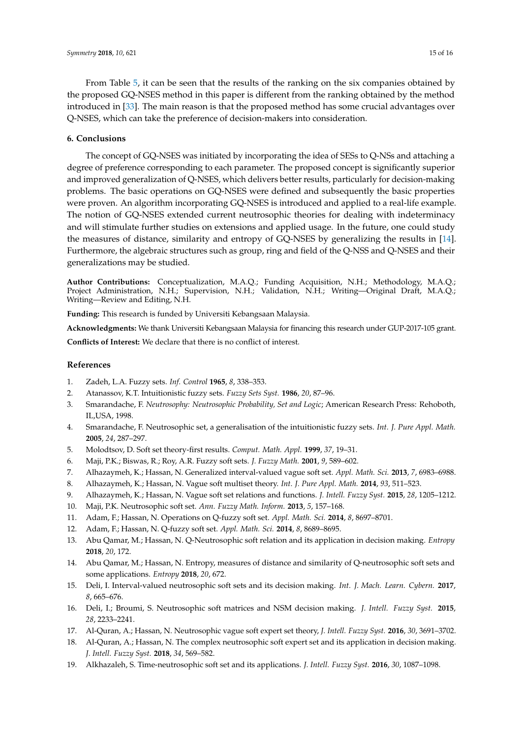From Table [5,](#page-13-2) it can be seen that the results of the ranking on the six companies obtained by the proposed GQ-NSES method in this paper is different from the ranking obtained by the method introduced in [\[33\]](#page-15-7). The main reason is that the proposed method has some crucial advantages over Q-NSES, which can take the preference of decision-makers into consideration.

#### **6. Conclusions**

The concept of GQ-NSES was initiated by incorporating the idea of SESs to Q-NSs and attaching a degree of preference corresponding to each parameter. The proposed concept is significantly superior and improved generalization of Q-NSES, which delivers better results, particularly for decision-making problems. The basic operations on GQ-NSES were defined and subsequently the basic properties were proven. An algorithm incorporating GQ-NSES is introduced and applied to a real-life example. The notion of GQ-NSES extended current neutrosophic theories for dealing with indeterminacy and will stimulate further studies on extensions and applied usage. In the future, one could study the measures of distance, similarity and entropy of GQ-NSES by generalizing the results in [\[14\]](#page-14-12). Furthermore, the algebraic structures such as group, ring and field of the Q-NSS and Q-NSES and their generalizations may be studied.

**Author Contributions:** Conceptualization, M.A.Q.; Funding Acquisition, N.H.; Methodology, M.A.Q.; Project Administration, N.H.; Supervision, N.H.; Validation, N.H.; Writing—Original Draft, M.A.Q.; Writing—Review and Editing, N.H.

**Funding:** This research is funded by Universiti Kebangsaan Malaysia.

**Acknowledgments:** We thank Universiti Kebangsaan Malaysia for financing this research under GUP-2017-105 grant.

**Conflicts of Interest:** We declare that there is no conflict of interest.

## **References**

- <span id="page-14-0"></span>1. Zadeh, L.A. Fuzzy sets. *Inf. Control* **1965**, *8*, 338–353.
- <span id="page-14-1"></span>2. Atanassov, K.T. Intuitionistic fuzzy sets. *Fuzzy Sets Syst.* **1986**, *20*, 87–96.
- <span id="page-14-2"></span>3. Smarandache, F. *Neutrosophy: Neutrosophic Probability, Set and Logic*; American Research Press: Rehoboth, IL,USA, 1998.
- <span id="page-14-3"></span>4. Smarandache, F. Neutrosophic set, a generalisation of the intuitionistic fuzzy sets. *Int. J. Pure Appl. Math.* **2005**, *24*, 287–297.
- <span id="page-14-4"></span>5. Molodtsov, D. Soft set theory-first results. *Comput. Math. Appl.* **1999**, *37*, 19–31.
- <span id="page-14-5"></span>6. Maji, P.K.; Biswas, R.; Roy, A.R. Fuzzy soft sets. *J. Fuzzy Math.* **2001**, *9*, 589–602.
- <span id="page-14-6"></span>7. Alhazaymeh, K.; Hassan, N. Generalized interval-valued vague soft set. *Appl. Math. Sci.* **2013**, *7*, 6983–6988.
- 8. Alhazaymeh, K.; Hassan, N. Vague soft multiset theory. *Int. J. Pure Appl. Math.* **2014**, *93*, 511–523.
- <span id="page-14-7"></span>9. Alhazaymeh, K.; Hassan, N. Vague soft set relations and functions. *J. Intell. Fuzzy Syst.* **2015**, *28*, 1205–1212.
- <span id="page-14-8"></span>10. Maji, P.K. Neutrosophic soft set. *Ann. Fuzzy Math. Inform.* **2013**, *5*, 157–168.
- <span id="page-14-9"></span>11. Adam, F.; Hassan, N. Operations on Q-fuzzy soft set. *Appl. Math. Sci.* **2014**, *8*, 8697–8701.
- <span id="page-14-10"></span>12. Adam, F.; Hassan, N. Q-fuzzy soft set. *Appl. Math. Sci.* **2014**, *8*, 8689–8695.
- <span id="page-14-11"></span>13. Abu Qamar, M.; Hassan, N. Q-Neutrosophic soft relation and its application in decision making. *Entropy* **2018**, *20*, 172.
- <span id="page-14-12"></span>14. Abu Qamar, M.; Hassan, N. Entropy, measures of distance and similarity of Q-neutrosophic soft sets and some applications. *Entropy* **2018**, *20*, 672.
- <span id="page-14-13"></span>15. Deli, I. Interval-valued neutrosophic soft sets and its decision making. *Int. J. Mach. Learn. Cybern.* **2017**, *8*, 665–676.
- 16. Deli, I.; Broumi, S. Neutrosophic soft matrices and NSM decision making. *J. Intell. Fuzzy Syst.* **2015**, *28*, 2233–2241.
- <span id="page-14-14"></span>17. Al-Quran, A.; Hassan, N. Neutrosophic vague soft expert set theory, *J. Intell. Fuzzy Syst.* **2016**, *30*, 3691–3702.
- <span id="page-14-15"></span>18. Al-Quran, A.; Hassan, N. The complex neutrosophic soft expert set and its application in decision making. *J. Intell. Fuzzy Syst.* **2018**, *34*, 569–582.
- 19. Alkhazaleh, S. Time-neutrosophic soft set and its applications. *J. Intell. Fuzzy Syst.* **2016**, *30*, 1087–1098.